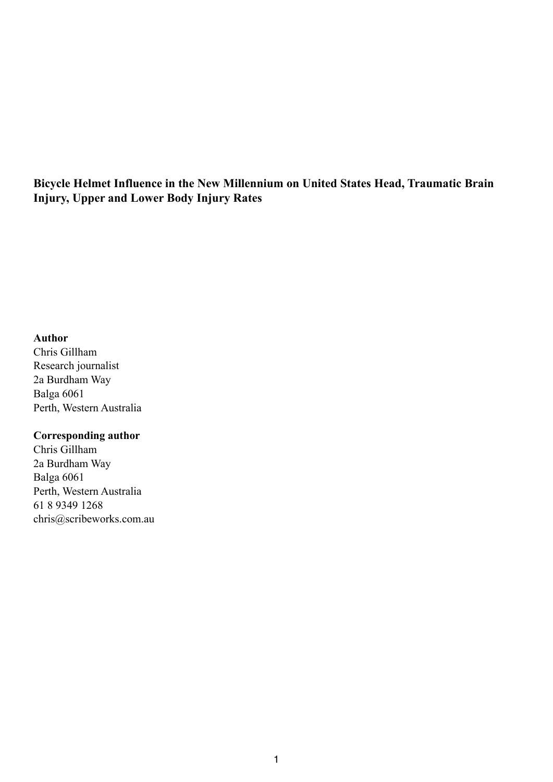**Bicycle Helmet Influence in the New Millennium on United States Head, Traumatic Brain Injury, Upper and Lower Body Injury Rates** 

#### **Author**

Chris Gillham Research journalist 2a Burdham Way Balga 6061 Perth, Western Australia

#### **Corresponding author**

Chris Gillham 2a Burdham Way Balga 6061 Perth, Western Australia 61 8 9349 1268 chris@scribeworks.com.au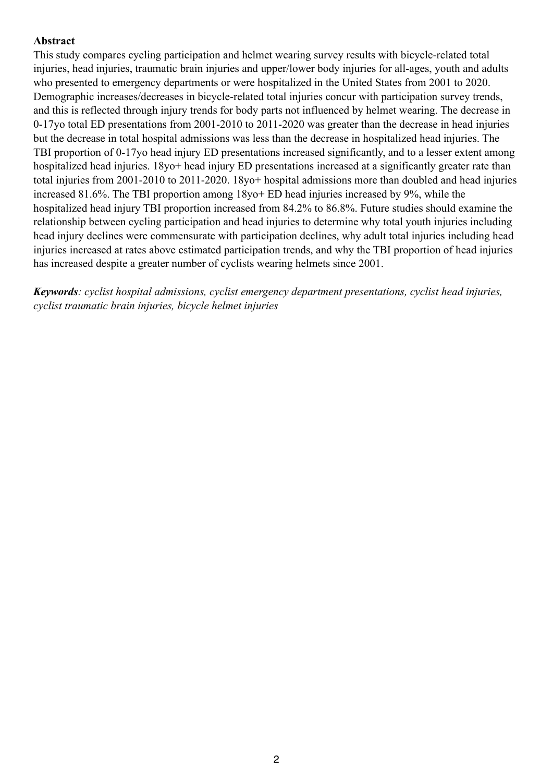# **Abstract**

This study compares cycling participation and helmet wearing survey results with bicycle-related total injuries, head injuries, traumatic brain injuries and upper/lower body injuries for all-ages, youth and adults who presented to emergency departments or were hospitalized in the United States from 2001 to 2020. Demographic increases/decreases in bicycle-related total injuries concur with participation survey trends, and this is reflected through injury trends for body parts not influenced by helmet wearing. The decrease in 0-17yo total ED presentations from 2001-2010 to 2011-2020 was greater than the decrease in head injuries but the decrease in total hospital admissions was less than the decrease in hospitalized head injuries. The TBI proportion of 0-17yo head injury ED presentations increased significantly, and to a lesser extent among hospitalized head injuries. 18yo+ head injury ED presentations increased at a significantly greater rate than total injuries from 2001-2010 to 2011-2020. 18yo+ hospital admissions more than doubled and head injuries increased 81.6%. The TBI proportion among 18yo+ ED head injuries increased by 9%, while the hospitalized head injury TBI proportion increased from 84.2% to 86.8%. Future studies should examine the relationship between cycling participation and head injuries to determine why total youth injuries including head injury declines were commensurate with participation declines, why adult total injuries including head injuries increased at rates above estimated participation trends, and why the TBI proportion of head injuries has increased despite a greater number of cyclists wearing helmets since 2001.

*Keywords: cyclist hospital admissions, cyclist emergency department presentations, cyclist head injuries, cyclist traumatic brain injuries, bicycle helmet injuries*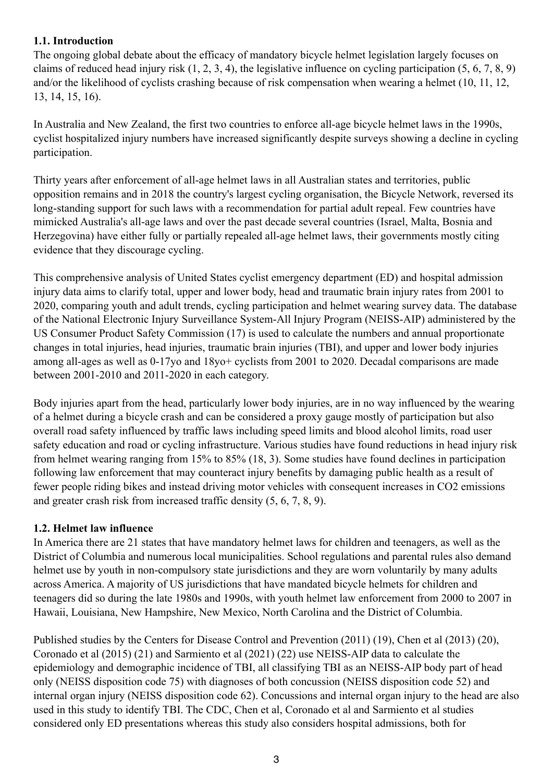# **1.1. Introduction**

The ongoing global debate about the efficacy of mandatory bicycle helmet legislation largely focuses on claims of reduced head injury risk (1, 2, 3, 4), the legislative influence on cycling participation (5, 6, 7, 8, 9) and/or the likelihood of cyclists crashing because of risk compensation when wearing a helmet (10, 11, 12, 13, 14, 15, 16).

In Australia and New Zealand, the first two countries to enforce all-age bicycle helmet laws in the 1990s, cyclist hospitalized injury numbers have increased significantly despite surveys showing a decline in cycling participation.

Thirty years after enforcement of all-age helmet laws in all Australian states and territories, public opposition remains and in 2018 the country's largest cycling organisation, the Bicycle Network, reversed its long-standing support for such laws with a recommendation for partial adult repeal. Few countries have mimicked Australia's all-age laws and over the past decade several countries (Israel, Malta, Bosnia and Herzegovina) have either fully or partially repealed all-age helmet laws, their governments mostly citing evidence that they discourage cycling.

This comprehensive analysis of United States cyclist emergency department (ED) and hospital admission injury data aims to clarify total, upper and lower body, head and traumatic brain injury rates from 2001 to 2020, comparing youth and adult trends, cycling participation and helmet wearing survey data. The database of the National Electronic Injury Surveillance System-All Injury Program (NEISS-AIP) administered by the US Consumer Product Safety Commission (17) is used to calculate the numbers and annual proportionate changes in total injuries, head injuries, traumatic brain injuries (TBI), and upper and lower body injuries among all-ages as well as 0-17yo and 18yo+ cyclists from 2001 to 2020. Decadal comparisons are made between 2001-2010 and 2011-2020 in each category.

Body injuries apart from the head, particularly lower body injuries, are in no way influenced by the wearing of a helmet during a bicycle crash and can be considered a proxy gauge mostly of participation but also overall road safety influenced by traffic laws including speed limits and blood alcohol limits, road user safety education and road or cycling infrastructure. Various studies have found reductions in head injury risk from helmet wearing ranging from 15% to 85% (18, 3). Some studies have found declines in participation following law enforcement that may counteract injury benefits by damaging public health as a result of fewer people riding bikes and instead driving motor vehicles with consequent increases in CO2 emissions and greater crash risk from increased traffic density (5, 6, 7, 8, 9).

# **1.2. Helmet law influence**

In America there are 21 states that have mandatory helmet laws for children and teenagers, as well as the District of Columbia and numerous local municipalities. School regulations and parental rules also demand helmet use by youth in non-compulsory state jurisdictions and they are worn voluntarily by many adults across America. A majority of US jurisdictions that have mandated bicycle helmets for children and teenagers did so during the late 1980s and 1990s, with youth helmet law enforcement from 2000 to 2007 in Hawaii, Louisiana, New Hampshire, New Mexico, North Carolina and the District of Columbia.

Published studies by the Centers for Disease Control and Prevention (2011) (19), Chen et al (2013) (20), Coronado et al (2015) (21) and Sarmiento et al (2021) (22) use NEISS-AIP data to calculate the epidemiology and demographic incidence of TBI, all classifying TBI as an NEISS-AIP body part of head only (NEISS disposition code 75) with diagnoses of both concussion (NEISS disposition code 52) and internal organ injury (NEISS disposition code 62). Concussions and internal organ injury to the head are also used in this study to identify TBI. The CDC, Chen et al, Coronado et al and Sarmiento et al studies considered only ED presentations whereas this study also considers hospital admissions, both for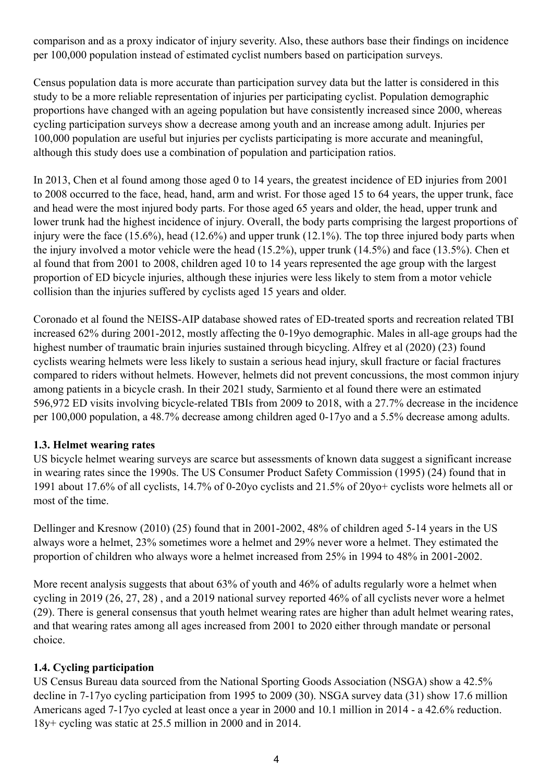comparison and as a proxy indicator of injury severity. Also, these authors base their findings on incidence per 100,000 population instead of estimated cyclist numbers based on participation surveys.

Census population data is more accurate than participation survey data but the latter is considered in this study to be a more reliable representation of injuries per participating cyclist. Population demographic proportions have changed with an ageing population but have consistently increased since 2000, whereas cycling participation surveys show a decrease among youth and an increase among adult. Injuries per 100,000 population are useful but injuries per cyclists participating is more accurate and meaningful, although this study does use a combination of population and participation ratios.

In 2013, Chen et al found among those aged 0 to 14 years, the greatest incidence of ED injuries from 2001 to 2008 occurred to the face, head, hand, arm and wrist. For those aged 15 to 64 years, the upper trunk, face and head were the most injured body parts. For those aged 65 years and older, the head, upper trunk and lower trunk had the highest incidence of injury. Overall, the body parts comprising the largest proportions of injury were the face (15.6%), head (12.6%) and upper trunk (12.1%). The top three injured body parts when the injury involved a motor vehicle were the head (15.2%), upper trunk (14.5%) and face (13.5%). Chen et al found that from 2001 to 2008, children aged 10 to 14 years represented the age group with the largest proportion of ED bicycle injuries, although these injuries were less likely to stem from a motor vehicle collision than the injuries suffered by cyclists aged 15 years and older.

Coronado et al found the NEISS-AIP database showed rates of ED-treated sports and recreation related TBI increased 62% during 2001-2012, mostly affecting the 0-19yo demographic. Males in all-age groups had the highest number of traumatic brain injuries sustained through bicycling. Alfrey et al (2020) (23) found cyclists wearing helmets were less likely to sustain a serious head injury, skull fracture or facial fractures compared to riders without helmets. However, helmets did not prevent concussions, the most common injury among patients in a bicycle crash. In their 2021 study, Sarmiento et al found there were an estimated 596,972 ED visits involving bicycle-related TBIs from 2009 to 2018, with a 27.7% decrease in the incidence per 100,000 population, a 48.7% decrease among children aged 0-17yo and a 5.5% decrease among adults.

# **1.3. Helmet wearing rates**

US bicycle helmet wearing surveys are scarce but assessments of known data suggest a significant increase in wearing rates since the 1990s. The US Consumer Product Safety Commission (1995) (24) found that in 1991 about 17.6% of all cyclists, 14.7% of 0-20yo cyclists and 21.5% of 20yo+ cyclists wore helmets all or most of the time.

Dellinger and Kresnow (2010) (25) found that in 2001-2002, 48% of children aged 5-14 years in the US always wore a helmet, 23% sometimes wore a helmet and 29% never wore a helmet. They estimated the proportion of children who always wore a helmet increased from 25% in 1994 to 48% in 2001-2002.

More recent analysis suggests that about 63% of youth and 46% of adults regularly wore a helmet when cycling in 2019 (26, 27, 28) , and a 2019 national survey reported 46% of all cyclists never wore a helmet (29). There is general consensus that youth helmet wearing rates are higher than adult helmet wearing rates, and that wearing rates among all ages increased from 2001 to 2020 either through mandate or personal choice.

# **1.4. Cycling participation**

US Census Bureau data sourced from the National Sporting Goods Association (NSGA) show a 42.5% decline in 7-17yo cycling participation from 1995 to 2009 (30). NSGA survey data (31) show 17.6 million Americans aged 7-17yo cycled at least once a year in 2000 and 10.1 million in 2014 - a 42.6% reduction. 18y+ cycling was static at 25.5 million in 2000 and in 2014.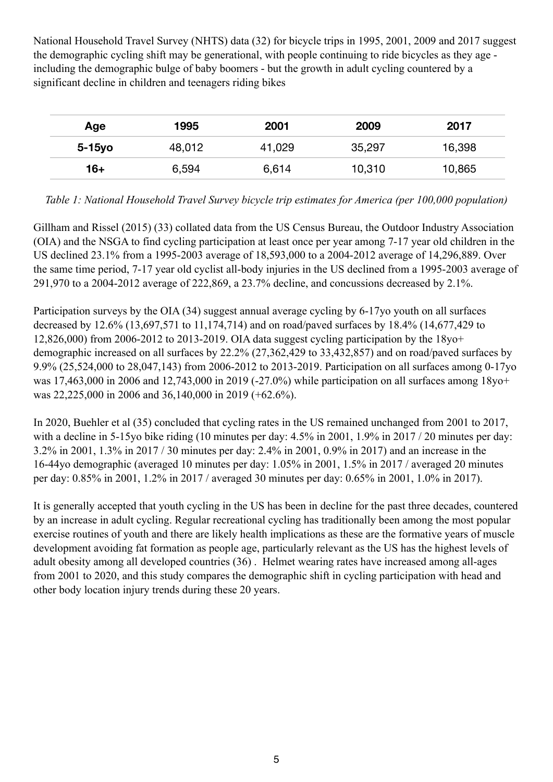National Household Travel Survey (NHTS) data (32) for bicycle trips in 1995, 2001, 2009 and 2017 suggest the demographic cycling shift may be generational, with people continuing to ride bicycles as they age including the demographic bulge of baby boomers - but the growth in adult cycling countered by a significant decline in children and teenagers riding bikes

| Age    | 1995   | 2001   | 2009   | 2017   |
|--------|--------|--------|--------|--------|
| 5-15yo | 48,012 | 41,029 | 35,297 | 16,398 |
| 16+    | 6,594  | 6,614  | 10,310 | 10,865 |

*Table 1: National Household Travel Survey bicycle trip estimates for America (per 100,000 population)* 

Gillham and Rissel (2015) (33) collated data from the US Census Bureau, the Outdoor Industry Association (OIA) and the NSGA to find cycling participation at least once per year among 7-17 year old children in the US declined 23.1% from a 1995-2003 average of 18,593,000 to a 2004-2012 average of 14,296,889. Over the same time period, 7-17 year old cyclist all-body injuries in the US declined from a 1995-2003 average of 291,970 to a 2004-2012 average of 222,869, a 23.7% decline, and concussions decreased by 2.1%.

Participation surveys by the OIA (34) suggest annual average cycling by 6-17yo youth on all surfaces decreased by 12.6% (13,697,571 to 11,174,714) and on road/paved surfaces by 18.4% (14,677,429 to 12,826,000) from 2006-2012 to 2013-2019. OIA data suggest cycling participation by the 18yo+ demographic increased on all surfaces by 22.2% (27,362,429 to 33,432,857) and on road/paved surfaces by 9.9% (25,524,000 to 28,047,143) from 2006-2012 to 2013-2019. Participation on all surfaces among 0-17yo was 17,463,000 in 2006 and 12,743,000 in 2019 (-27.0%) while participation on all surfaces among 18yo+ was 22,225,000 in 2006 and 36,140,000 in 2019 (+62.6%).

In 2020, Buehler et al (35) concluded that cycling rates in the US remained unchanged from 2001 to 2017, with a decline in 5-15yo bike riding (10 minutes per day: 4.5% in 2001, 1.9% in 2017 / 20 minutes per day: 3.2% in 2001, 1.3% in 2017 / 30 minutes per day: 2.4% in 2001, 0.9% in 2017) and an increase in the 16-44yo demographic (averaged 10 minutes per day: 1.05% in 2001, 1.5% in 2017 / averaged 20 minutes per day: 0.85% in 2001, 1.2% in 2017 / averaged 30 minutes per day: 0.65% in 2001, 1.0% in 2017).

It is generally accepted that youth cycling in the US has been in decline for the past three decades, countered by an increase in adult cycling. Regular recreational cycling has traditionally been among the most popular exercise routines of youth and there are likely health implications as these are the formative years of muscle development avoiding fat formation as people age, particularly relevant as the US has the highest levels of adult obesity among all developed countries (36) . Helmet wearing rates have increased among all-ages from 2001 to 2020, and this study compares the demographic shift in cycling participation with head and other body location injury trends during these 20 years.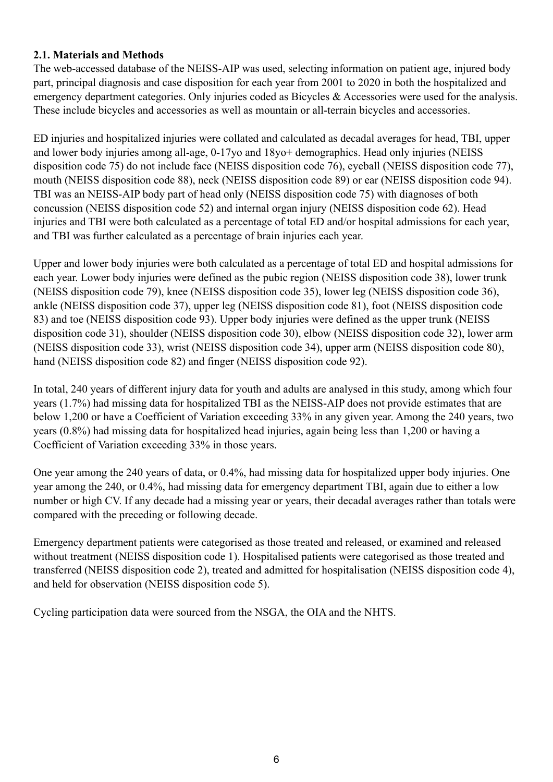#### **2.1. Materials and Methods**

The web-accessed database of the NEISS-AIP was used, selecting information on patient age, injured body part, principal diagnosis and case disposition for each year from 2001 to 2020 in both the hospitalized and emergency department categories. Only injuries coded as Bicycles & Accessories were used for the analysis. These include bicycles and accessories as well as mountain or all-terrain bicycles and accessories.

ED injuries and hospitalized injuries were collated and calculated as decadal averages for head, TBI, upper and lower body injuries among all-age, 0-17yo and 18yo+ demographics. Head only injuries (NEISS disposition code 75) do not include face (NEISS disposition code 76), eyeball (NEISS disposition code 77), mouth (NEISS disposition code 88), neck (NEISS disposition code 89) or ear (NEISS disposition code 94). TBI was an NEISS-AIP body part of head only (NEISS disposition code 75) with diagnoses of both concussion (NEISS disposition code 52) and internal organ injury (NEISS disposition code 62). Head injuries and TBI were both calculated as a percentage of total ED and/or hospital admissions for each year, and TBI was further calculated as a percentage of brain injuries each year.

Upper and lower body injuries were both calculated as a percentage of total ED and hospital admissions for each year. Lower body injuries were defined as the pubic region (NEISS disposition code 38), lower trunk (NEISS disposition code 79), knee (NEISS disposition code 35), lower leg (NEISS disposition code 36), ankle (NEISS disposition code 37), upper leg (NEISS disposition code 81), foot (NEISS disposition code 83) and toe (NEISS disposition code 93). Upper body injuries were defined as the upper trunk (NEISS disposition code 31), shoulder (NEISS disposition code 30), elbow (NEISS disposition code 32), lower arm (NEISS disposition code 33), wrist (NEISS disposition code 34), upper arm (NEISS disposition code 80), hand (NEISS disposition code 82) and finger (NEISS disposition code 92).

In total, 240 years of different injury data for youth and adults are analysed in this study, among which four years (1.7%) had missing data for hospitalized TBI as the NEISS-AIP does not provide estimates that are below 1,200 or have a Coefficient of Variation exceeding 33% in any given year. Among the 240 years, two years (0.8%) had missing data for hospitalized head injuries, again being less than 1,200 or having a Coefficient of Variation exceeding 33% in those years.

One year among the 240 years of data, or 0.4%, had missing data for hospitalized upper body injuries. One year among the 240, or 0.4%, had missing data for emergency department TBI, again due to either a low number or high CV. If any decade had a missing year or years, their decadal averages rather than totals were compared with the preceding or following decade.

Emergency department patients were categorised as those treated and released, or examined and released without treatment (NEISS disposition code 1). Hospitalised patients were categorised as those treated and transferred (NEISS disposition code 2), treated and admitted for hospitalisation (NEISS disposition code 4), and held for observation (NEISS disposition code 5).

Cycling participation data were sourced from the NSGA, the OIA and the NHTS.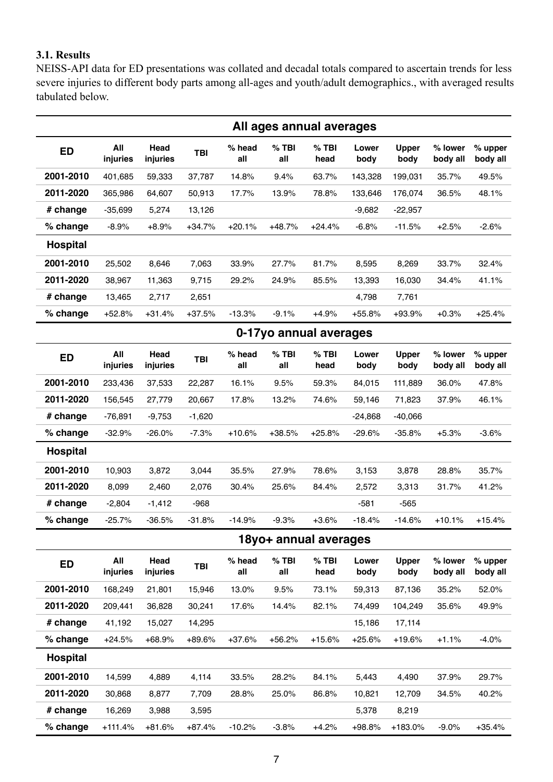### **3.1. Results**

NEISS-API data for ED presentations was collated and decadal totals compared to ascertain trends for less severe injuries to different body parts among all-ages and youth/adult demographics., with averaged results tabulated below.

|                 |                 |                  |            |               |                | All ages annual averages |               |                      |                     |                     |
|-----------------|-----------------|------------------|------------|---------------|----------------|--------------------------|---------------|----------------------|---------------------|---------------------|
| <b>ED</b>       | All<br>injuries | Head<br>injuries | <b>TBI</b> | % head<br>all | $%$ TBI<br>all | $%$ TBI<br>head          | Lower<br>body | <b>Upper</b><br>body | % lower<br>body all | % upper<br>body all |
| 2001-2010       | 401,685         | 59,333           | 37,787     | 14.8%         | 9.4%           | 63.7%                    | 143,328       | 199,031              | 35.7%               | 49.5%               |
| 2011-2020       | 365,986         | 64,607           | 50,913     | 17.7%         | 13.9%          | 78.8%                    | 133,646       | 176,074              | 36.5%               | 48.1%               |
| # change        | $-35,699$       | 5,274            | 13,126     |               |                |                          | $-9,682$      | $-22,957$            |                     |                     |
| % change        | $-8.9%$         | $+8.9%$          | $+34.7%$   | $+20.1%$      | $+48.7%$       | $+24.4%$                 | $-6.8%$       | $-11.5%$             | $+2.5%$             | $-2.6%$             |
| <b>Hospital</b> |                 |                  |            |               |                |                          |               |                      |                     |                     |
| 2001-2010       | 25,502          | 8,646            | 7,063      | 33.9%         | 27.7%          | 81.7%                    | 8,595         | 8,269                | 33.7%               | 32.4%               |
| 2011-2020       | 38,967          | 11,363           | 9,715      | 29.2%         | 24.9%          | 85.5%                    | 13,393        | 16,030               | 34.4%               | 41.1%               |
| # change        | 13,465          | 2,717            | 2,651      |               |                |                          | 4,798         | 7,761                |                     |                     |
| % change        | $+52.8%$        | $+31.4%$         | $+37.5%$   | $-13.3%$      | $-9.1%$        | $+4.9%$                  | +55.8%        | +93.9%               | $+0.3%$             | $+25.4%$            |
|                 |                 |                  |            |               |                | 0-17yo annual averages   |               |                      |                     |                     |
| ED              | All<br>injuries | Head<br>injuries | <b>TBI</b> | % head<br>all | $%$ TBI<br>all | $%$ TBI<br>head          | Lower<br>body | <b>Upper</b><br>body | % lower<br>body all | % upper<br>body all |
| 2001-2010       | 233,436         | 37,533           | 22,287     | 16.1%         | 9.5%           | 59.3%                    | 84,015        | 111,889              | 36.0%               | 47.8%               |
| 2011-2020       | 156,545         | 27,779           | 20,667     | 17.8%         | 13.2%          | 74.6%                    | 59,146        | 71,823               | 37.9%               | 46.1%               |
| # change        | $-76,891$       | $-9,753$         | $-1,620$   |               |                |                          | $-24,868$     | $-40,066$            |                     |                     |
| % change        | $-32.9%$        | $-26.0%$         | $-7.3%$    | $+10.6%$      | $+38.5%$       | $+25.8%$                 | $-29.6%$      | $-35.8%$             | $+5.3%$             | $-3.6%$             |
| <b>Hospital</b> |                 |                  |            |               |                |                          |               |                      |                     |                     |
| 2001-2010       | 10,903          | 3,872            | 3,044      | 35.5%         | 27.9%          | 78.6%                    | 3,153         | 3,878                | 28.8%               | 35.7%               |
| 2011-2020       | 8,099           | 2,460            | 2,076      | 30.4%         | 25.6%          | 84.4%                    | 2,572         | 3,313                | 31.7%               | 41.2%               |
| # change        | $-2,804$        | $-1,412$         | $-968$     |               |                |                          | $-581$        | $-565$               |                     |                     |
| % change        | $-25.7%$        | $-36.5%$         | $-31.8%$   | $-14.9%$      | $-9.3%$        | $+3.6%$                  | $-18.4%$      | $-14.6%$             | $+10.1%$            | $+15.4%$            |
|                 |                 |                  |            |               |                | 18yo+ annual averages    |               |                      |                     |                     |
| <b>ED</b>       | All<br>injuries | Head<br>injuries | <b>TBI</b> | % head<br>all | $%$ TBI<br>all | $%$ TBI<br>head          | Lower<br>body | <b>Upper</b><br>body | % lower<br>body all | % upper<br>body all |
| 2001-2010       | 168,249         | 21,801           | 15,946     | 13.0%         | 9.5%           | 73.1%                    | 59,313        | 87,136               | 35.2%               | 52.0%               |
| 2011-2020       | 209,441         | 36,828           | 30,241     | 17.6%         | 14.4%          | 82.1%                    | 74,499        | 104,249              | 35.6%               | 49.9%               |
| # change        | 41,192          | 15,027           | 14,295     |               |                |                          | 15,186        | 17,114               |                     |                     |
| % change        | +24.5%          | +68.9%           | +89.6%     | $+37.6%$      | $+56.2%$       | $+15.6%$                 | $+25.6%$      | $+19.6%$             | $+1.1%$             | $-4.0%$             |
| <b>Hospital</b> |                 |                  |            |               |                |                          |               |                      |                     |                     |
| 2001-2010       | 14,599          | 4,889            | 4,114      | 33.5%         | 28.2%          | 84.1%                    | 5,443         | 4,490                | 37.9%               | 29.7%               |
| 2011-2020       | 30,868          | 8,877            | 7,709      | 28.8%         | 25.0%          | 86.8%                    | 10,821        | 12,709               | 34.5%               | 40.2%               |
| # change        | 16,269          | 3,988            | 3,595      |               |                |                          | 5,378         | 8,219                |                     |                     |
| % change        | $+111.4%$       | $+81.6%$         | $+87.4%$   | $-10.2%$      | $-3.8%$        | $+4.2%$                  | +98.8%        | +183.0%              | $-9.0%$             | $+35.4%$            |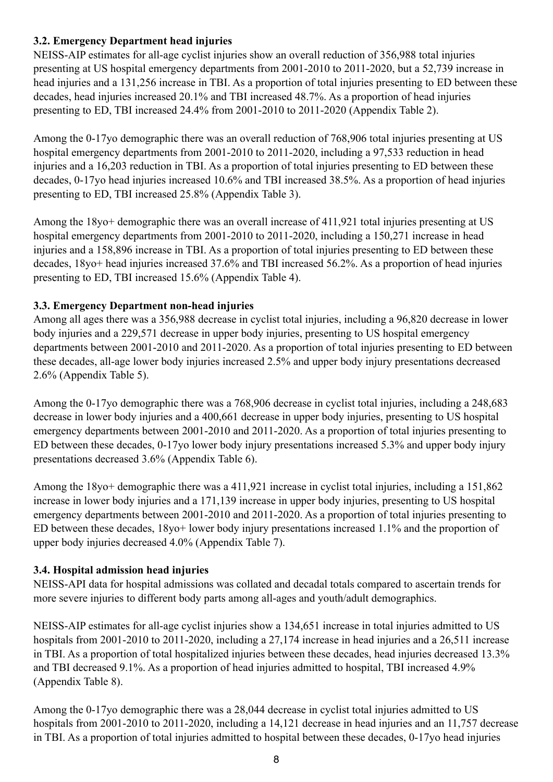# **3.2. Emergency Department head injuries**

NEISS-AIP estimates for all-age cyclist injuries show an overall reduction of 356,988 total injuries presenting at US hospital emergency departments from 2001-2010 to 2011-2020, but a 52,739 increase in head injuries and a 131,256 increase in TBI. As a proportion of total injuries presenting to ED between these decades, head injuries increased 20.1% and TBI increased 48.7%. As a proportion of head injuries presenting to ED, TBI increased 24.4% from 2001-2010 to 2011-2020 (Appendix Table 2).

Among the 0-17yo demographic there was an overall reduction of 768,906 total injuries presenting at US hospital emergency departments from 2001-2010 to 2011-2020, including a 97,533 reduction in head injuries and a 16,203 reduction in TBI. As a proportion of total injuries presenting to ED between these decades, 0-17yo head injuries increased 10.6% and TBI increased 38.5%. As a proportion of head injuries presenting to ED, TBI increased 25.8% (Appendix Table 3).

Among the 18yo+ demographic there was an overall increase of 411,921 total injuries presenting at US hospital emergency departments from 2001-2010 to 2011-2020, including a 150,271 increase in head injuries and a 158,896 increase in TBI. As a proportion of total injuries presenting to ED between these decades, 18yo+ head injuries increased 37.6% and TBI increased 56.2%. As a proportion of head injuries presenting to ED, TBI increased 15.6% (Appendix Table 4).

# **3.3. Emergency Department non-head injuries**

Among all ages there was a 356,988 decrease in cyclist total injuries, including a 96,820 decrease in lower body injuries and a 229,571 decrease in upper body injuries, presenting to US hospital emergency departments between 2001-2010 and 2011-2020. As a proportion of total injuries presenting to ED between these decades, all-age lower body injuries increased 2.5% and upper body injury presentations decreased 2.6% (Appendix Table 5).

Among the 0-17yo demographic there was a 768,906 decrease in cyclist total injuries, including a 248,683 decrease in lower body injuries and a 400,661 decrease in upper body injuries, presenting to US hospital emergency departments between 2001-2010 and 2011-2020. As a proportion of total injuries presenting to ED between these decades, 0-17yo lower body injury presentations increased 5.3% and upper body injury presentations decreased 3.6% (Appendix Table 6).

Among the 18yo+ demographic there was a 411,921 increase in cyclist total injuries, including a 151,862 increase in lower body injuries and a 171,139 increase in upper body injuries, presenting to US hospital emergency departments between 2001-2010 and 2011-2020. As a proportion of total injuries presenting to ED between these decades, 18yo+ lower body injury presentations increased 1.1% and the proportion of upper body injuries decreased 4.0% (Appendix Table 7).

# **3.4. Hospital admission head injuries**

NEISS-API data for hospital admissions was collated and decadal totals compared to ascertain trends for more severe injuries to different body parts among all-ages and youth/adult demographics.

NEISS-AIP estimates for all-age cyclist injuries show a 134,651 increase in total injuries admitted to US hospitals from 2001-2010 to 2011-2020, including a 27,174 increase in head injuries and a 26,511 increase in TBI. As a proportion of total hospitalized injuries between these decades, head injuries decreased 13.3% and TBI decreased 9.1%. As a proportion of head injuries admitted to hospital, TBI increased 4.9% (Appendix Table 8).

Among the 0-17yo demographic there was a 28,044 decrease in cyclist total injuries admitted to US hospitals from 2001-2010 to 2011-2020, including a 14,121 decrease in head injuries and an 11,757 decrease in TBI. As a proportion of total injuries admitted to hospital between these decades, 0-17yo head injuries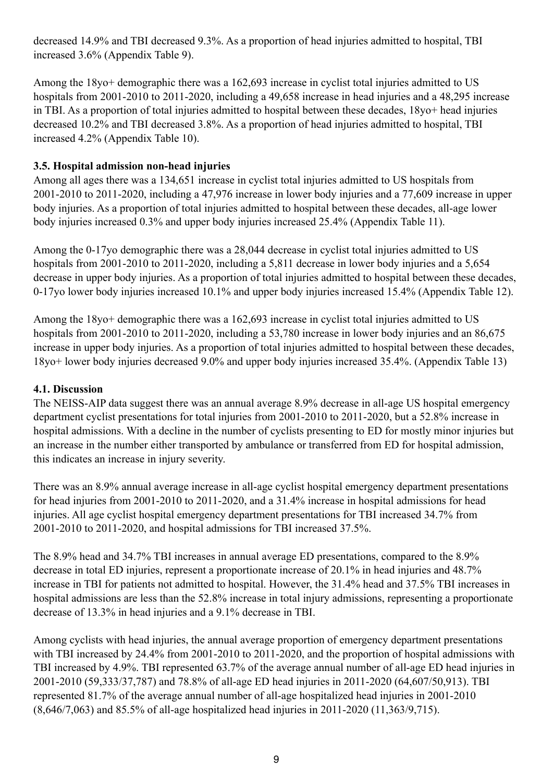decreased 14.9% and TBI decreased 9.3%. As a proportion of head injuries admitted to hospital, TBI increased 3.6% (Appendix Table 9).

Among the 18yo+ demographic there was a 162,693 increase in cyclist total injuries admitted to US hospitals from 2001-2010 to 2011-2020, including a 49,658 increase in head injuries and a 48,295 increase in TBI. As a proportion of total injuries admitted to hospital between these decades, 18yo+ head injuries decreased 10.2% and TBI decreased 3.8%. As a proportion of head injuries admitted to hospital, TBI increased 4.2% (Appendix Table 10).

# **3.5. Hospital admission non-head injuries**

Among all ages there was a 134,651 increase in cyclist total injuries admitted to US hospitals from 2001-2010 to 2011-2020, including a 47,976 increase in lower body injuries and a 77,609 increase in upper body injuries. As a proportion of total injuries admitted to hospital between these decades, all-age lower body injuries increased 0.3% and upper body injuries increased 25.4% (Appendix Table 11).

Among the 0-17yo demographic there was a 28,044 decrease in cyclist total injuries admitted to US hospitals from 2001-2010 to 2011-2020, including a 5,811 decrease in lower body injuries and a 5,654 decrease in upper body injuries. As a proportion of total injuries admitted to hospital between these decades, 0-17yo lower body injuries increased 10.1% and upper body injuries increased 15.4% (Appendix Table 12).

Among the 18yo+ demographic there was a 162,693 increase in cyclist total injuries admitted to US hospitals from 2001-2010 to 2011-2020, including a 53,780 increase in lower body injuries and an 86,675 increase in upper body injuries. As a proportion of total injuries admitted to hospital between these decades, 18yo+ lower body injuries decreased 9.0% and upper body injuries increased 35.4%. (Appendix Table 13)

### **4.1. Discussion**

The NEISS-AIP data suggest there was an annual average 8.9% decrease in all-age US hospital emergency department cyclist presentations for total injuries from 2001-2010 to 2011-2020, but a 52.8% increase in hospital admissions. With a decline in the number of cyclists presenting to ED for mostly minor injuries but an increase in the number either transported by ambulance or transferred from ED for hospital admission, this indicates an increase in injury severity.

There was an 8.9% annual average increase in all-age cyclist hospital emergency department presentations for head injuries from 2001-2010 to 2011-2020, and a 31.4% increase in hospital admissions for head injuries. All age cyclist hospital emergency department presentations for TBI increased 34.7% from 2001-2010 to 2011-2020, and hospital admissions for TBI increased 37.5%.

The 8.9% head and 34.7% TBI increases in annual average ED presentations, compared to the 8.9% decrease in total ED injuries, represent a proportionate increase of 20.1% in head injuries and 48.7% increase in TBI for patients not admitted to hospital. However, the 31.4% head and 37.5% TBI increases in hospital admissions are less than the 52.8% increase in total injury admissions, representing a proportionate decrease of 13.3% in head injuries and a 9.1% decrease in TBI.

Among cyclists with head injuries, the annual average proportion of emergency department presentations with TBI increased by 24.4% from 2001-2010 to 2011-2020, and the proportion of hospital admissions with TBI increased by 4.9%. TBI represented 63.7% of the average annual number of all-age ED head injuries in 2001-2010 (59,333/37,787) and 78.8% of all-age ED head injuries in 2011-2020 (64,607/50,913). TBI represented 81.7% of the average annual number of all-age hospitalized head injuries in 2001-2010 (8,646/7,063) and 85.5% of all-age hospitalized head injuries in 2011-2020 (11,363/9,715).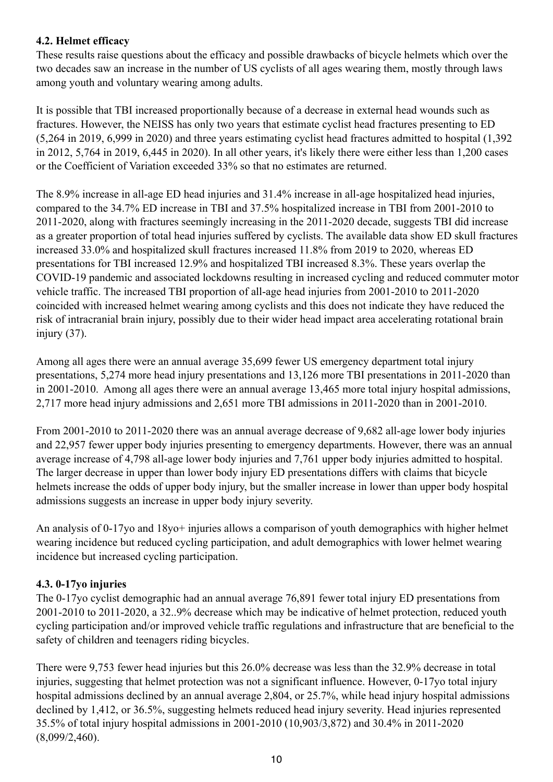# **4.2. Helmet efficacy**

These results raise questions about the efficacy and possible drawbacks of bicycle helmets which over the two decades saw an increase in the number of US cyclists of all ages wearing them, mostly through laws among youth and voluntary wearing among adults.

It is possible that TBI increased proportionally because of a decrease in external head wounds such as fractures. However, the NEISS has only two years that estimate cyclist head fractures presenting to ED (5,264 in 2019, 6,999 in 2020) and three years estimating cyclist head fractures admitted to hospital (1,392 in 2012, 5,764 in 2019, 6,445 in 2020). In all other years, it's likely there were either less than 1,200 cases or the Coefficient of Variation exceeded 33% so that no estimates are returned.

The 8.9% increase in all-age ED head injuries and 31.4% increase in all-age hospitalized head injuries, compared to the 34.7% ED increase in TBI and 37.5% hospitalized increase in TBI from 2001-2010 to 2011-2020, along with fractures seemingly increasing in the 2011-2020 decade, suggests TBI did increase as a greater proportion of total head injuries suffered by cyclists. The available data show ED skull fractures increased 33.0% and hospitalized skull fractures increased 11.8% from 2019 to 2020, whereas ED presentations for TBI increased 12.9% and hospitalized TBI increased 8.3%. These years overlap the COVID-19 pandemic and associated lockdowns resulting in increased cycling and reduced commuter motor vehicle traffic. The increased TBI proportion of all-age head injuries from 2001-2010 to 2011-2020 coincided with increased helmet wearing among cyclists and this does not indicate they have reduced the risk of intracranial brain injury, possibly due to their wider head impact area accelerating rotational brain injury (37).

Among all ages there were an annual average 35,699 fewer US emergency department total injury presentations, 5,274 more head injury presentations and 13,126 more TBI presentations in 2011-2020 than in 2001-2010. Among all ages there were an annual average 13,465 more total injury hospital admissions, 2,717 more head injury admissions and 2,651 more TBI admissions in 2011-2020 than in 2001-2010.

From 2001-2010 to 2011-2020 there was an annual average decrease of 9,682 all-age lower body injuries and 22,957 fewer upper body injuries presenting to emergency departments. However, there was an annual average increase of 4,798 all-age lower body injuries and 7,761 upper body injuries admitted to hospital. The larger decrease in upper than lower body injury ED presentations differs with claims that bicycle helmets increase the odds of upper body injury, but the smaller increase in lower than upper body hospital admissions suggests an increase in upper body injury severity.

An analysis of 0-17yo and 18yo+ injuries allows a comparison of youth demographics with higher helmet wearing incidence but reduced cycling participation, and adult demographics with lower helmet wearing incidence but increased cycling participation.

# **4.3. 0-17yo injuries**

The 0-17yo cyclist demographic had an annual average 76,891 fewer total injury ED presentations from 2001-2010 to 2011-2020, a 32..9% decrease which may be indicative of helmet protection, reduced youth cycling participation and/or improved vehicle traffic regulations and infrastructure that are beneficial to the safety of children and teenagers riding bicycles.

There were 9,753 fewer head injuries but this 26.0% decrease was less than the 32.9% decrease in total injuries, suggesting that helmet protection was not a significant influence. However, 0-17yo total injury hospital admissions declined by an annual average 2,804, or 25.7%, while head injury hospital admissions declined by 1,412, or 36.5%, suggesting helmets reduced head injury severity. Head injuries represented 35.5% of total injury hospital admissions in 2001-2010 (10,903/3,872) and 30.4% in 2011-2020 (8,099/2,460).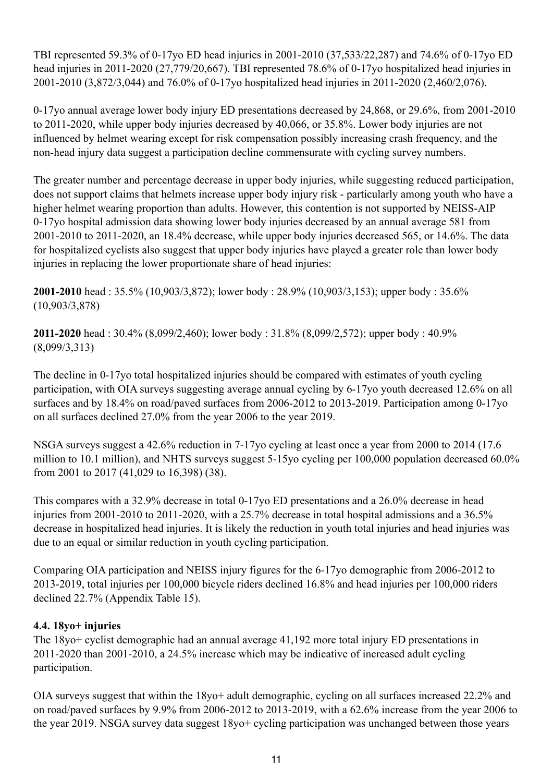TBI represented 59.3% of 0-17yo ED head injuries in 2001-2010 (37,533/22,287) and 74.6% of 0-17yo ED head injuries in 2011-2020 (27,779/20,667). TBI represented 78.6% of 0-17yo hospitalized head injuries in 2001-2010 (3,872/3,044) and 76.0% of 0-17yo hospitalized head injuries in 2011-2020 (2,460/2,076).

0-17yo annual average lower body injury ED presentations decreased by 24,868, or 29.6%, from 2001-2010 to 2011-2020, while upper body injuries decreased by 40,066, or 35.8%. Lower body injuries are not influenced by helmet wearing except for risk compensation possibly increasing crash frequency, and the non-head injury data suggest a participation decline commensurate with cycling survey numbers.

The greater number and percentage decrease in upper body injuries, while suggesting reduced participation, does not support claims that helmets increase upper body injury risk - particularly among youth who have a higher helmet wearing proportion than adults. However, this contention is not supported by NEISS-AIP 0-17yo hospital admission data showing lower body injuries decreased by an annual average 581 from 2001-2010 to 2011-2020, an 18.4% decrease, while upper body injuries decreased 565, or 14.6%. The data for hospitalized cyclists also suggest that upper body injuries have played a greater role than lower body injuries in replacing the lower proportionate share of head injuries:

**2001-2010** head : 35.5% (10,903/3,872); lower body : 28.9% (10,903/3,153); upper body : 35.6% (10,903/3,878)

**2011-2020** head : 30.4% (8,099/2,460); lower body : 31.8% (8,099/2,572); upper body : 40.9% (8,099/3,313)

The decline in 0-17yo total hospitalized injuries should be compared with estimates of youth cycling participation, with OIA surveys suggesting average annual cycling by 6-17yo youth decreased 12.6% on all surfaces and by 18.4% on road/paved surfaces from 2006-2012 to 2013-2019. Participation among 0-17yo on all surfaces declined 27.0% from the year 2006 to the year 2019.

NSGA surveys suggest a 42.6% reduction in 7-17yo cycling at least once a year from 2000 to 2014 (17.6 million to 10.1 million), and NHTS surveys suggest 5-15yo cycling per 100,000 population decreased 60.0% from 2001 to 2017 (41,029 to 16,398) (38).

This compares with a 32.9% decrease in total 0-17yo ED presentations and a 26.0% decrease in head injuries from 2001-2010 to 2011-2020, with a 25.7% decrease in total hospital admissions and a 36.5% decrease in hospitalized head injuries. It is likely the reduction in youth total injuries and head injuries was due to an equal or similar reduction in youth cycling participation.

Comparing OIA participation and NEISS injury figures for the 6-17yo demographic from 2006-2012 to 2013-2019, total injuries per 100,000 bicycle riders declined 16.8% and head injuries per 100,000 riders declined 22.7% (Appendix Table 15).

# **4.4. 18yo+ injuries**

The 18yo+ cyclist demographic had an annual average 41,192 more total injury ED presentations in 2011-2020 than 2001-2010, a 24.5% increase which may be indicative of increased adult cycling participation.

OIA surveys suggest that within the 18yo+ adult demographic, cycling on all surfaces increased 22.2% and on road/paved surfaces by 9.9% from 2006-2012 to 2013-2019, with a 62.6% increase from the year 2006 to the year 2019. NSGA survey data suggest 18yo+ cycling participation was unchanged between those years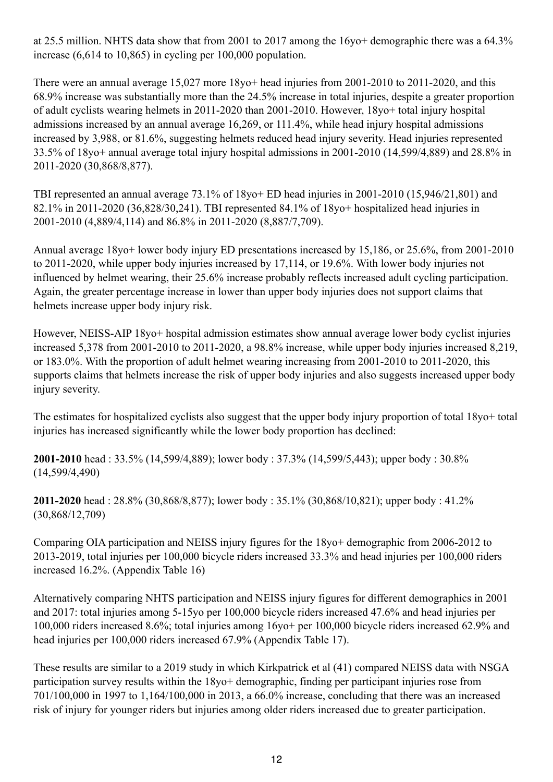at 25.5 million. NHTS data show that from 2001 to 2017 among the 16yo+ demographic there was a 64.3% increase (6,614 to 10,865) in cycling per 100,000 population.

There were an annual average 15,027 more 18yo+ head injuries from 2001-2010 to 2011-2020, and this 68.9% increase was substantially more than the 24.5% increase in total injuries, despite a greater proportion of adult cyclists wearing helmets in 2011-2020 than 2001-2010. However, 18yo+ total injury hospital admissions increased by an annual average 16,269, or 111.4%, while head injury hospital admissions increased by 3,988, or 81.6%, suggesting helmets reduced head injury severity. Head injuries represented 33.5% of 18yo+ annual average total injury hospital admissions in 2001-2010 (14,599/4,889) and 28.8% in 2011-2020 (30,868/8,877).

TBI represented an annual average 73.1% of 18yo+ ED head injuries in 2001-2010 (15,946/21,801) and 82.1% in 2011-2020 (36,828/30,241). TBI represented 84.1% of 18yo+ hospitalized head injuries in 2001-2010 (4,889/4,114) and 86.8% in 2011-2020 (8,887/7,709).

Annual average 18yo+ lower body injury ED presentations increased by 15,186, or 25.6%, from 2001-2010 to 2011-2020, while upper body injuries increased by 17,114, or 19.6%. With lower body injuries not influenced by helmet wearing, their 25.6% increase probably reflects increased adult cycling participation. Again, the greater percentage increase in lower than upper body injuries does not support claims that helmets increase upper body injury risk.

However, NEISS-AIP 18yo+ hospital admission estimates show annual average lower body cyclist injuries increased 5,378 from 2001-2010 to 2011-2020, a 98.8% increase, while upper body injuries increased 8,219, or 183.0%. With the proportion of adult helmet wearing increasing from 2001-2010 to 2011-2020, this supports claims that helmets increase the risk of upper body injuries and also suggests increased upper body injury severity.

The estimates for hospitalized cyclists also suggest that the upper body injury proportion of total 18yo+ total injuries has increased significantly while the lower body proportion has declined:

**2001-2010** head : 33.5% (14,599/4,889); lower body : 37.3% (14,599/5,443); upper body : 30.8% (14,599/4,490)

**2011-2020** head : 28.8% (30,868/8,877); lower body : 35.1% (30,868/10,821); upper body : 41.2% (30,868/12,709)

Comparing OIA participation and NEISS injury figures for the 18yo+ demographic from 2006-2012 to 2013-2019, total injuries per 100,000 bicycle riders increased 33.3% and head injuries per 100,000 riders increased 16.2%. (Appendix Table 16)

Alternatively comparing NHTS participation and NEISS injury figures for different demographics in 2001 and 2017: total injuries among 5-15yo per 100,000 bicycle riders increased 47.6% and head injuries per 100,000 riders increased 8.6%; total injuries among 16yo+ per 100,000 bicycle riders increased 62.9% and head injuries per 100,000 riders increased 67.9% (Appendix Table 17).

These results are similar to a 2019 study in which Kirkpatrick et al (41) compared NEISS data with NSGA participation survey results within the 18yo+ demographic, finding per participant injuries rose from 701/100,000 in 1997 to 1,164/100,000 in 2013, a 66.0% increase, concluding that there was an increased risk of injury for younger riders but injuries among older riders increased due to greater participation.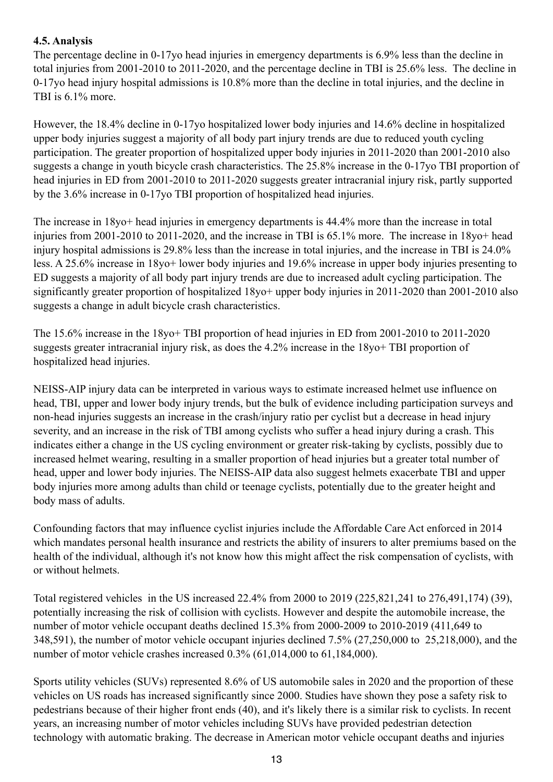# **4.5. Analysis**

The percentage decline in 0-17yo head injuries in emergency departments is 6.9% less than the decline in total injuries from 2001-2010 to 2011-2020, and the percentage decline in TBI is 25.6% less. The decline in 0-17yo head injury hospital admissions is 10.8% more than the decline in total injuries, and the decline in TBI is 6.1% more.

However, the 18.4% decline in 0-17yo hospitalized lower body injuries and 14.6% decline in hospitalized upper body injuries suggest a majority of all body part injury trends are due to reduced youth cycling participation. The greater proportion of hospitalized upper body injuries in 2011-2020 than 2001-2010 also suggests a change in youth bicycle crash characteristics. The 25.8% increase in the 0-17yo TBI proportion of head injuries in ED from 2001-2010 to 2011-2020 suggests greater intracranial injury risk, partly supported by the 3.6% increase in 0-17yo TBI proportion of hospitalized head injuries.

The increase in 18yo+ head injuries in emergency departments is 44.4% more than the increase in total injuries from 2001-2010 to 2011-2020, and the increase in TBI is 65.1% more. The increase in 18yo+ head injury hospital admissions is 29.8% less than the increase in total injuries, and the increase in TBI is 24.0% less. A 25.6% increase in 18yo+ lower body injuries and 19.6% increase in upper body injuries presenting to ED suggests a majority of all body part injury trends are due to increased adult cycling participation. The significantly greater proportion of hospitalized 18yo+ upper body injuries in 2011-2020 than 2001-2010 also suggests a change in adult bicycle crash characteristics.

The 15.6% increase in the 18yo+ TBI proportion of head injuries in ED from 2001-2010 to 2011-2020 suggests greater intracranial injury risk, as does the 4.2% increase in the 18yo+ TBI proportion of hospitalized head injuries.

NEISS-AIP injury data can be interpreted in various ways to estimate increased helmet use influence on head, TBI, upper and lower body injury trends, but the bulk of evidence including participation surveys and non-head injuries suggests an increase in the crash/injury ratio per cyclist but a decrease in head injury severity, and an increase in the risk of TBI among cyclists who suffer a head injury during a crash. This indicates either a change in the US cycling environment or greater risk-taking by cyclists, possibly due to increased helmet wearing, resulting in a smaller proportion of head injuries but a greater total number of head, upper and lower body injuries. The NEISS-AIP data also suggest helmets exacerbate TBI and upper body injuries more among adults than child or teenage cyclists, potentially due to the greater height and body mass of adults.

Confounding factors that may influence cyclist injuries include the Affordable Care Act enforced in 2014 which mandates personal health insurance and restricts the ability of insurers to alter premiums based on the health of the individual, although it's not know how this might affect the risk compensation of cyclists, with or without helmets.

Total registered vehicles in the US increased 22.4% from 2000 to 2019 (225,821,241 to 276,491,174) (39), potentially increasing the risk of collision with cyclists. However and despite the automobile increase, the number of motor vehicle occupant deaths declined 15.3% from 2000-2009 to 2010-2019 (411,649 to 348,591), the number of motor vehicle occupant injuries declined 7.5% (27,250,000 to 25,218,000), and the number of motor vehicle crashes increased 0.3% (61,014,000 to 61,184,000).

Sports utility vehicles (SUVs) represented 8.6% of US automobile sales in 2020 and the proportion of these vehicles on US roads has increased significantly since 2000. Studies have shown they pose a safety risk to pedestrians because of their higher front ends (40), and it's likely there is a similar risk to cyclists. In recent years, an increasing number of motor vehicles including SUVs have provided pedestrian detection technology with automatic braking. The decrease in American motor vehicle occupant deaths and injuries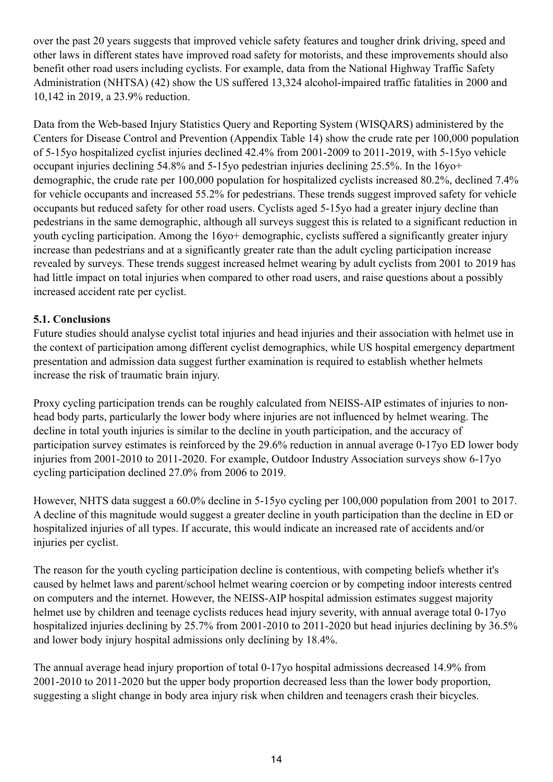over the past 20 years suggests that improved vehicle safety features and tougher drink driving, speed and other laws in different states have improved road safety for motorists, and these improvements should also benefit other road users including cyclists. For example, data from the National Highway Traffic Safety Administration (NHTSA) (42) show the US suffered 13,324 alcohol-impaired traffic fatalities in 2000 and 10,142 in 2019, a 23.9% reduction.

Data from the Web-based Injury Statistics Query and Reporting System (WISQARS) administered by the Centers for Disease Control and Prevention (Appendix Table 14) show the crude rate per 100,000 population of 5-15yo hospitalized cyclist injuries declined 42.4% from 2001-2009 to 2011-2019, with 5-15yo vehicle occupant injuries declining 54.8% and 5-15yo pedestrian injuries declining 25.5%. In the 16yo+ demographic, the crude rate per 100,000 population for hospitalized cyclists increased 80.2%, declined 7.4% for vehicle occupants and increased 55.2% for pedestrians. These trends suggest improved safety for vehicle occupants but reduced safety for other road users. Cyclists aged 5-15yo had a greater injury decline than pedestrians in the same demographic, although all surveys suggest this is related to a significant reduction in youth cycling participation. Among the 16yo+ demographic, cyclists suffered a significantly greater injury increase than pedestrians and at a significantly greater rate than the adult cycling participation increase revealed by surveys. These trends suggest increased helmet wearing by adult cyclists from 2001 to 2019 has had little impact on total injuries when compared to other road users, and raise questions about a possibly increased accident rate per cyclist.

#### **5.1. Conclusions**

Future studies should analyse cyclist total injuries and head injuries and their association with helmet use in the context of participation among different cyclist demographics, while US hospital emergency department presentation and admission data suggest further examination is required to establish whether helmets increase the risk of traumatic brain injury.

Proxy cycling participation trends can be roughly calculated from NEISS-AIP estimates of injuries to nonhead body parts, particularly the lower body where injuries are not influenced by helmet wearing. The decline in total youth injuries is similar to the decline in youth participation, and the accuracy of participation survey estimates is reinforced by the 29.6% reduction in annual average 0-17yo ED lower body injuries from 2001-2010 to 2011-2020. For example, Outdoor Industry Association surveys show 6-17yo cycling participation declined 27.0% from 2006 to 2019.

However, NHTS data suggest a 60.0% decline in 5-15yo cycling per 100,000 population from 2001 to 2017. A decline of this magnitude would suggest a greater decline in youth participation than the decline in ED or hospitalized injuries of all types. If accurate, this would indicate an increased rate of accidents and/or injuries per cyclist.

The reason for the youth cycling participation decline is contentious, with competing beliefs whether it's caused by helmet laws and parent/school helmet wearing coercion or by competing indoor interests centred on computers and the internet. However, the NEISS-AIP hospital admission estimates suggest majority helmet use by children and teenage cyclists reduces head injury severity, with annual average total 0-17yo hospitalized injuries declining by 25.7% from 2001-2010 to 2011-2020 but head injuries declining by 36.5% and lower body injury hospital admissions only declining by 18.4%.

The annual average head injury proportion of total 0-17yo hospital admissions decreased 14.9% from 2001-2010 to 2011-2020 but the upper body proportion decreased less than the lower body proportion, suggesting a slight change in body area injury risk when children and teenagers crash their bicycles.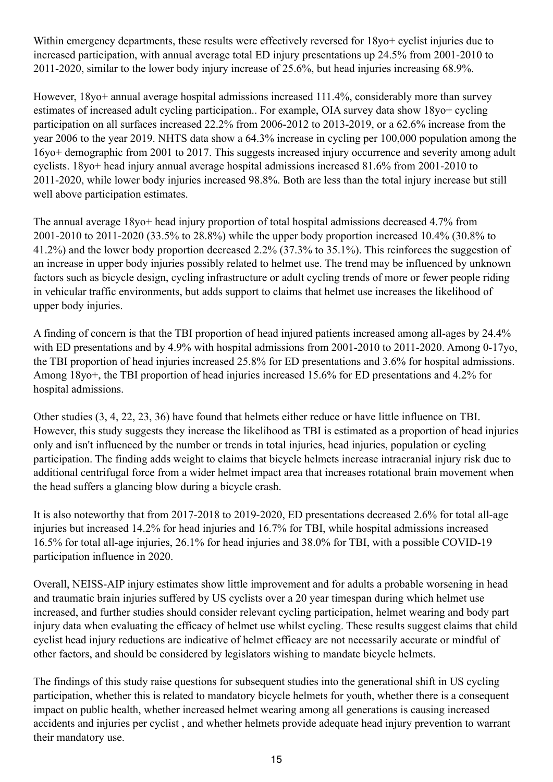Within emergency departments, these results were effectively reversed for  $18y0+$  cyclist injuries due to increased participation, with annual average total ED injury presentations up 24.5% from 2001-2010 to 2011-2020, similar to the lower body injury increase of 25.6%, but head injuries increasing 68.9%.

However, 18yo+ annual average hospital admissions increased 111.4%, considerably more than survey estimates of increased adult cycling participation.. For example, OIA survey data show 18yo+ cycling participation on all surfaces increased 22.2% from 2006-2012 to 2013-2019, or a 62.6% increase from the year 2006 to the year 2019. NHTS data show a 64.3% increase in cycling per 100,000 population among the 16yo+ demographic from 2001 to 2017. This suggests increased injury occurrence and severity among adult cyclists. 18yo+ head injury annual average hospital admissions increased 81.6% from 2001-2010 to 2011-2020, while lower body injuries increased 98.8%. Both are less than the total injury increase but still well above participation estimates.

The annual average 18yo+ head injury proportion of total hospital admissions decreased 4.7% from 2001-2010 to 2011-2020 (33.5% to 28.8%) while the upper body proportion increased 10.4% (30.8% to 41.2%) and the lower body proportion decreased 2.2% (37.3% to 35.1%). This reinforces the suggestion of an increase in upper body injuries possibly related to helmet use. The trend may be influenced by unknown factors such as bicycle design, cycling infrastructure or adult cycling trends of more or fewer people riding in vehicular traffic environments, but adds support to claims that helmet use increases the likelihood of upper body injuries.

A finding of concern is that the TBI proportion of head injured patients increased among all-ages by 24.4% with ED presentations and by 4.9% with hospital admissions from 2001-2010 to 2011-2020. Among 0-17yo, the TBI proportion of head injuries increased 25.8% for ED presentations and 3.6% for hospital admissions. Among 18yo+, the TBI proportion of head injuries increased 15.6% for ED presentations and 4.2% for hospital admissions.

Other studies (3, 4, 22, 23, 36) have found that helmets either reduce or have little influence on TBI. However, this study suggests they increase the likelihood as TBI is estimated as a proportion of head injuries only and isn't influenced by the number or trends in total injuries, head injuries, population or cycling participation. The finding adds weight to claims that bicycle helmets increase intracranial injury risk due to additional centrifugal force from a wider helmet impact area that increases rotational brain movement when the head suffers a glancing blow during a bicycle crash.

It is also noteworthy that from 2017-2018 to 2019-2020, ED presentations decreased 2.6% for total all-age injuries but increased 14.2% for head injuries and 16.7% for TBI, while hospital admissions increased 16.5% for total all-age injuries, 26.1% for head injuries and 38.0% for TBI, with a possible COVID-19 participation influence in 2020.

Overall, NEISS-AIP injury estimates show little improvement and for adults a probable worsening in head and traumatic brain injuries suffered by US cyclists over a 20 year timespan during which helmet use increased, and further studies should consider relevant cycling participation, helmet wearing and body part injury data when evaluating the efficacy of helmet use whilst cycling. These results suggest claims that child cyclist head injury reductions are indicative of helmet efficacy are not necessarily accurate or mindful of other factors, and should be considered by legislators wishing to mandate bicycle helmets.

The findings of this study raise questions for subsequent studies into the generational shift in US cycling participation, whether this is related to mandatory bicycle helmets for youth, whether there is a consequent impact on public health, whether increased helmet wearing among all generations is causing increased accidents and injuries per cyclist , and whether helmets provide adequate head injury prevention to warrant their mandatory use.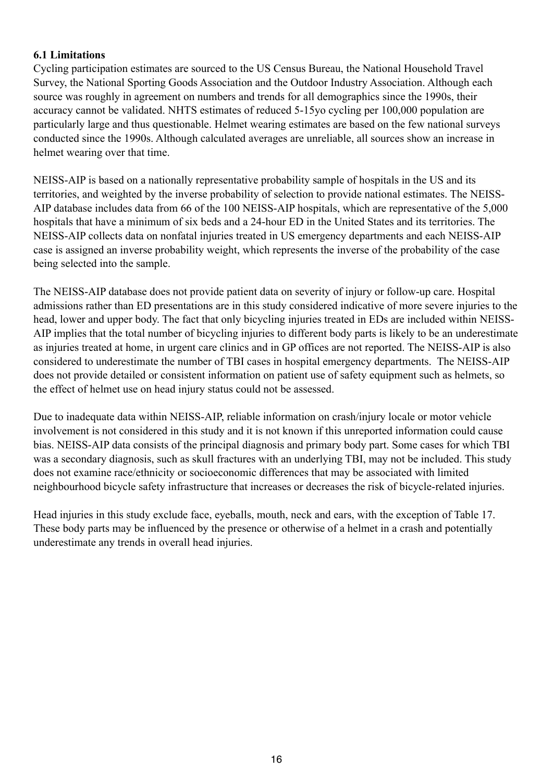#### **6.1 Limitations**

Cycling participation estimates are sourced to the US Census Bureau, the National Household Travel Survey, the National Sporting Goods Association and the Outdoor Industry Association. Although each source was roughly in agreement on numbers and trends for all demographics since the 1990s, their accuracy cannot be validated. NHTS estimates of reduced 5-15yo cycling per 100,000 population are particularly large and thus questionable. Helmet wearing estimates are based on the few national surveys conducted since the 1990s. Although calculated averages are unreliable, all sources show an increase in helmet wearing over that time.

NEISS-AIP is based on a nationally representative probability sample of hospitals in the US and its territories, and weighted by the inverse probability of selection to provide national estimates. The NEISS-AIP database includes data from 66 of the 100 NEISS-AIP hospitals, which are representative of the 5,000 hospitals that have a minimum of six beds and a 24-hour ED in the United States and its territories. The NEISS-AIP collects data on nonfatal injuries treated in US emergency departments and each NEISS-AIP case is assigned an inverse probability weight, which represents the inverse of the probability of the case being selected into the sample.

The NEISS-AIP database does not provide patient data on severity of injury or follow-up care. Hospital admissions rather than ED presentations are in this study considered indicative of more severe injuries to the head, lower and upper body. The fact that only bicycling injuries treated in EDs are included within NEISS-AIP implies that the total number of bicycling injuries to different body parts is likely to be an underestimate as injuries treated at home, in urgent care clinics and in GP offices are not reported. The NEISS-AIP is also considered to underestimate the number of TBI cases in hospital emergency departments. The NEISS-AIP does not provide detailed or consistent information on patient use of safety equipment such as helmets, so the effect of helmet use on head injury status could not be assessed.

Due to inadequate data within NEISS-AIP, reliable information on crash/injury locale or motor vehicle involvement is not considered in this study and it is not known if this unreported information could cause bias. NEISS-AIP data consists of the principal diagnosis and primary body part. Some cases for which TBI was a secondary diagnosis, such as skull fractures with an underlying TBI, may not be included. This study does not examine race/ethnicity or socioeconomic differences that may be associated with limited neighbourhood bicycle safety infrastructure that increases or decreases the risk of bicycle-related injuries.

Head injuries in this study exclude face, eyeballs, mouth, neck and ears, with the exception of Table 17. These body parts may be influenced by the presence or otherwise of a helmet in a crash and potentially underestimate any trends in overall head injuries.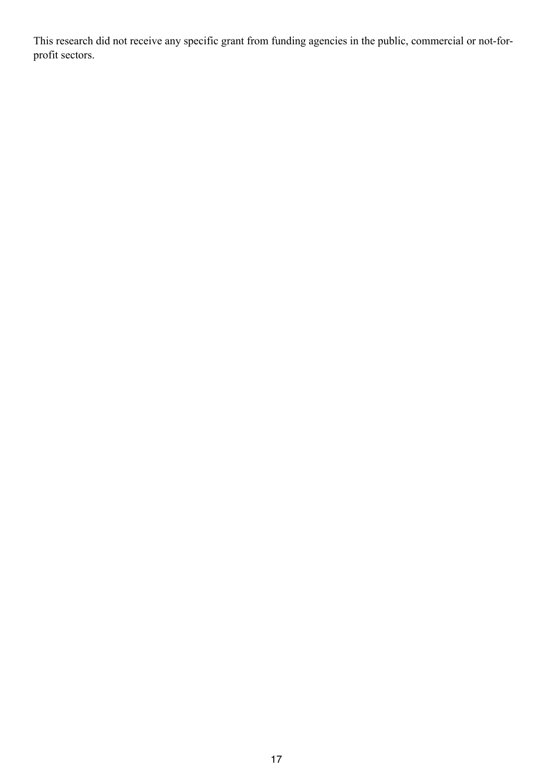This research did not receive any specific grant from funding agencies in the public, commercial or not-forprofit sectors.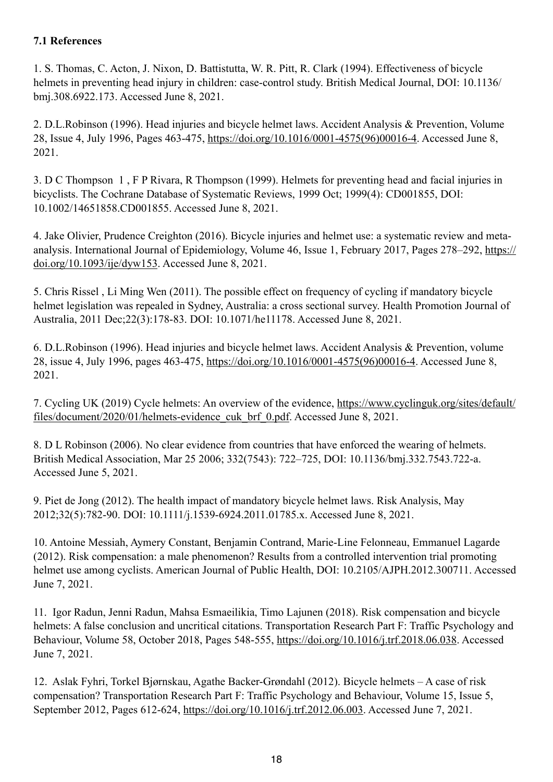### **7.1 References**

1. S. Thomas, C. Acton, J. Nixon, D. Battistutta, W. R. Pitt, R. Clark (1994). Effectiveness of bicycle helmets in preventing head injury in children: case-control study. British Medical Journal, DOI: 10.1136/ bmj.308.6922.173. Accessed June 8, 2021.

2. D.L.Robinson (1996). Head injuries and bicycle helmet laws. Accident Analysis & Prevention, Volume 28, Issue 4, July 1996, Pages 463-475, [https://doi.org/10.1016/0001-4575\(96\)00016-4.](https://doi.org/10.1016/0001-4575(96)00016-4) Accessed June 8, 2021.

3. D C Thompson 1 , F P Rivara, R Thompson (1999). Helmets for preventing head and facial injuries in bicyclists. The Cochrane Database of Systematic Reviews, 1999 Oct; 1999(4): CD001855, DOI: 10.1002/14651858.CD001855. Accessed June 8, 2021.

4. Jake Olivier, Prudence Creighton (2016). Bicycle injuries and helmet use: a systematic review and metaanalysis. International Journal of Epidemiology, Volume 46, Issue 1, February 2017, Pages 278–292, [https://](https://doi.org/10.1093/ije/dyw153) [doi.org/10.1093/ije/dyw153.](https://doi.org/10.1093/ije/dyw153) Accessed June 8, 2021.

5. Chris Rissel , Li Ming Wen (2011). The possible effect on frequency of cycling if mandatory bicycle helmet legislation was repealed in Sydney, Australia: a cross sectional survey. Health Promotion Journal of Australia, 2011 Dec;22(3):178-83. DOI: 10.1071/he11178. Accessed June 8, 2021.

6. D.L.Robinson (1996). Head injuries and bicycle helmet laws. Accident Analysis & Prevention, volume 28, issue 4, July 1996, pages 463-475, [https://doi.org/10.1016/0001-4575\(96\)00016-4](https://doi.org/10.1016/0001-4575(96)00016-4). Accessed June 8, 2021.

7. Cycling UK (2019) Cycle helmets: An overview of the evidence, [https://www.cyclinguk.org/sites/default/](https://www.cyclinguk.org/sites/default/files/document/2020/01/helmets-evidence_cuk_brf_0.pdf) [files/document/2020/01/helmets-evidence\\_cuk\\_brf\\_0.pdf.](https://www.cyclinguk.org/sites/default/files/document/2020/01/helmets-evidence_cuk_brf_0.pdf) Accessed June 8, 2021.

8. D L Robinson (2006). No clear evidence from countries that have enforced the wearing of helmets. British Medical Association, Mar 25 2006; 332(7543): 722–725, DOI: 10.1136/bmj.332.7543.722-a. Accessed June 5, 2021.

9. Piet de Jong (2012). The health impact of mandatory bicycle helmet laws. Risk Analysis, May 2012;32(5):782-90. DOI: 10.1111/j.1539-6924.2011.01785.x. Accessed June 8, 2021.

10. Antoine Messiah, Aymery Constant, Benjamin Contrand, Marie-Line Felonneau, Emmanuel Lagarde (2012). Risk compensation: a male phenomenon? Results from a controlled intervention trial promoting helmet use among cyclists. American Journal of Public Health, DOI: 10.2105/AJPH.2012.300711. Accessed June 7, 2021.

11. Igor Radun, Jenni Radun, Mahsa Esmaeilikia, Timo Lajunen (2018). Risk compensation and bicycle helmets: A false conclusion and uncritical citations. Transportation Research Part F: Traffic Psychology and Behaviour, Volume 58, October 2018, Pages 548-555, [https://doi.org/10.1016/j.trf.2018.06.038.](https://doi.org/10.1016/j.trf.2018.06.038) Accessed June 7, 2021.

12. Aslak Fyhri, Torkel Bjørnskau, Agathe Backer-Grøndahl (2012). Bicycle helmets – A case of risk compensation? Transportation Research Part F: Traffic Psychology and Behaviour, Volume 15, Issue 5, September 2012, Pages 612-624,<https://doi.org/10.1016/j.trf.2012.06.003>. Accessed June 7, 2021.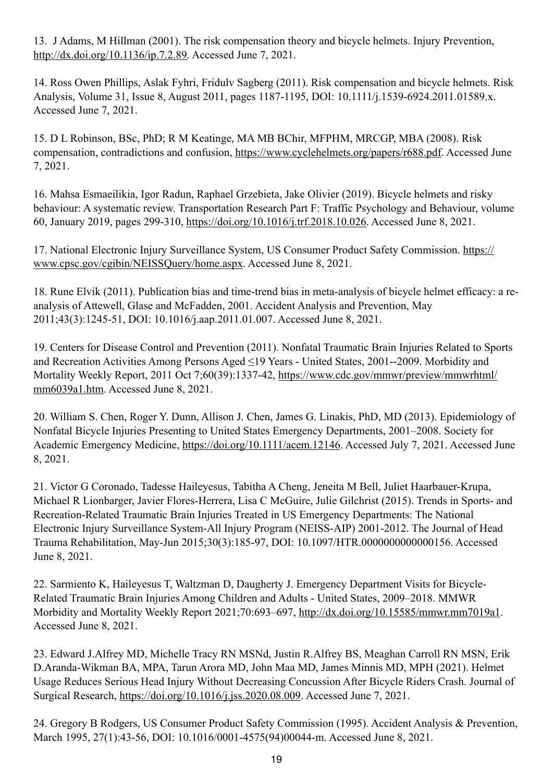13. J Adams, M Hillman (2001). The risk compensation theory and bicycle helmets. Injury Prevention, <http://dx.doi.org/10.1136/ip.7.2.89>. Accessed June 7, 2021.

14. Ross Owen Phillips, Aslak Fyhri, Fridulv Sagberg (2011). Risk compensation and bicycle helmets. Risk Analysis, Volume 31, Issue 8, August 2011, pages 1187-1195, DOI: 10.1111/j.1539-6924.2011.01589.x. Accessed June 7, 2021.

15. D L Robinson, BSc, PhD; R M Keatinge, MA MB BChir, MFPHM, MRCGP, MBA (2008). Risk compensation, contradictions and confusion,<https://www.cyclehelmets.org/papers/r688.pdf>. Accessed June 7, 2021.

16. Mahsa Esmaeilikia, Igor Radun, Raphael Grzebieta, Jake Olivier (2019). Bicycle helmets and risky behaviour: A systematic review. Transportation Research Part F: Traffic Psychology and Behaviour, volume 60, January 2019, pages 299-310, <https://doi.org/10.1016/j.trf.2018.10.026>. Accessed June 8, 2021.

17. National Electronic Injury Surveillance System, US Consumer Product Safety Commission. [https://](https://www.cpsc.gov/cgibin/NEISSQuery/home.aspx) [www.cpsc.gov/cgibin/NEISSQuery/home.aspx.](https://www.cpsc.gov/cgibin/NEISSQuery/home.aspx) Accessed June 8, 2021.

18. Rune Elvik (2011). Publication bias and time-trend bias in meta-analysis of bicycle helmet efficacy: a reanalysis of Attewell, Glase and McFadden, 2001. Accident Analysis and Prevention, May 2011;43(3):1245-51, DOI: 10.1016/j.aap.2011.01.007. Accessed June 8, 2021.

19. Centers for Disease Control and Prevention (2011). Nonfatal Traumatic Brain Injuries Related to Sports and Recreation Activities Among Persons Aged ≤19 Years - United States, 2001--2009. Morbidity and Mortality Weekly Report, 2011 Oct 7;60(39):1337-42, [https://www.cdc.gov/mmwr/preview/mmwrhtml/](https://www.cdc.gov/mmwr/preview/mmwrhtml/mm6039a1.htm) [mm6039a1.htm.](https://www.cdc.gov/mmwr/preview/mmwrhtml/mm6039a1.htm) Accessed June 8, 2021.

20. William S. Chen, Roger Y. Dunn, Allison J. Chen, James G. Linakis, PhD, MD (2013). Epidemiology of Nonfatal Bicycle Injuries Presenting to United States Emergency Departments, 2001–2008. Society for Academic Emergency Medicine,<https://doi.org/10.1111/acem.12146>. Accessed July 7, 2021. Accessed June 8, 2021.

21. Victor G Coronado, Tadesse Haileyesus, Tabitha A Cheng, Jeneita M Bell, Juliet Haarbauer-Krupa, Michael R Lionbarger, Javier Flores-Herrera, Lisa C McGuire, Julie Gilchrist (2015). Trends in Sports- and Recreation-Related Traumatic Brain Injuries Treated in US Emergency Departments: The National Electronic Injury Surveillance System-All Injury Program (NEISS-AIP) 2001-2012. The Journal of Head Trauma Rehabilitation, May-Jun 2015;30(3):185-97, DOI: 10.1097/HTR.0000000000000156. Accessed June 8, 2021.

22. Sarmiento K, Haileyesus T, Waltzman D, Daugherty J. Emergency Department Visits for Bicycle-Related Traumatic Brain Injuries Among Children and Adults - United States, 2009–2018. MMWR Morbidity and Mortality Weekly Report 2021;70:693–697, [http://dx.doi.org/10.15585/mmwr.mm7019a1.](http://dx.doi.org/10.15585/mmwr.mm7019a1) Accessed June 8, 2021.

23. Edward J.Alfrey MD, Michelle Tracy RN MSNd, Justin R.Alfrey BS, Meaghan Carroll RN MSN, Erik D.Aranda-Wikman BA, MPA, Tarun Arora MD, John Maa MD, James Minnis MD, MPH (2021). Helmet Usage Reduces Serious Head Injury Without Decreasing Concussion After Bicycle Riders Crash. Journal of Surgical Research, [https://doi.org/10.1016/j.jss.2020.08.009.](https://doi.org/10.1016/j.jss.2020.08.009) Accessed June 7, 2021.

24. Gregory B Rodgers, US Consumer Product Safety Commission (1995). Accident Analysis & Prevention, March 1995, 27(1):43-56, DOI: 10.1016/0001-4575(94)00044-m. Accessed June 8, 2021.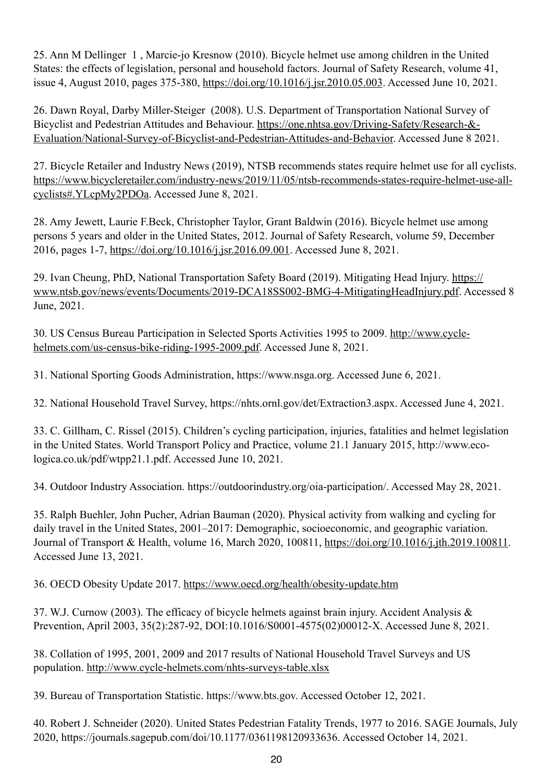25. Ann M Dellinger 1 , Marcie-jo Kresnow (2010). Bicycle helmet use among children in the United States: the effects of legislation, personal and household factors. Journal of Safety Research, volume 41, issue 4, August 2010, pages 375-380,<https://doi.org/10.1016/j.jsr.2010.05.003>. Accessed June 10, 2021.

26. Dawn Royal, Darby Miller-Steiger (2008). U.S. Department of Transportation National Survey of Bicyclist and Pedestrian Attitudes and Behaviour. [https://one.nhtsa.gov/Driving-Safety/Research-&-](https://one.nhtsa.gov/Driving-Safety/Research-&-Evaluation/National-Survey-of-Bicyclist-and-Pedestrian-Attitudes-and-Behavior) [Evaluation/National-Survey-of-Bicyclist-and-Pedestrian-Attitudes-and-Behavior.](https://one.nhtsa.gov/Driving-Safety/Research-&-Evaluation/National-Survey-of-Bicyclist-and-Pedestrian-Attitudes-and-Behavior) Accessed June 8 2021.

27. Bicycle Retailer and Industry News (2019), NTSB recommends states require helmet use for all cyclists. [https://www.bicycleretailer.com/industry-news/2019/11/05/ntsb-recommends-states-require-helmet-use-all](https://www.bicycleretailer.com/industry-news/2019/11/05/ntsb-recommends-states-require-helmet-use-all-cyclists#.YLcpMy2PDOa)[cyclists#.YLcpMy2PDOa](https://www.bicycleretailer.com/industry-news/2019/11/05/ntsb-recommends-states-require-helmet-use-all-cyclists#.YLcpMy2PDOa). Accessed June 8, 2021.

28. Amy Jewett, Laurie F.Beck, Christopher Taylor, Grant Baldwin (2016). Bicycle helmet use among persons 5 years and older in the United States, 2012. Journal of Safety Research, volume 59, December 2016, pages 1-7,<https://doi.org/10.1016/j.jsr.2016.09.001>. Accessed June 8, 2021.

29. Ivan Cheung, PhD, National Transportation Safety Board (2019). Mitigating Head Injury. [https://](https://www.ntsb.gov/news/events/Documents/2019-DCA18SS002-BMG-4-MitigatingHeadInjury.pdf) [www.ntsb.gov/news/events/Documents/2019-DCA18SS002-BMG-4-MitigatingHeadInjury.pdf](https://www.ntsb.gov/news/events/Documents/2019-DCA18SS002-BMG-4-MitigatingHeadInjury.pdf). Accessed 8 June, 2021.

30. US Census Bureau Participation in Selected Sports Activities 1995 to 2009. [http://www.cycle](http://www.cycle-helmets.com/us-census-bike-riding-1995-2009.pdf)[helmets.com/us-census-bike-riding-1995-2009.pdf](http://www.cycle-helmets.com/us-census-bike-riding-1995-2009.pdf). Accessed June 8, 2021.

31. National Sporting Goods Administration, https://www.nsga.org. Accessed June 6, 2021.

32. National Household Travel Survey, https://nhts.ornl.gov/det/Extraction3.aspx. Accessed June 4, 2021.

33. C. Gillham, C. Rissel (2015). Children's cycling participation, injuries, fatalities and helmet legislation in the United States. World Transport Policy and Practice, volume 21.1 January 2015, http://www.ecologica.co.uk/pdf/wtpp21.1.pdf. Accessed June 10, 2021.

34. Outdoor Industry Association. https://outdoorindustry.org/oia-participation/. Accessed May 28, 2021.

35. Ralph Buehler, John Pucher, Adrian Bauman (2020). Physical activity from walking and cycling for daily travel in the United States, 2001–2017: Demographic, socioeconomic, and geographic variation. Journal of Transport & Health, volume 16, March 2020, 100811, <https://doi.org/10.1016/j.jth.2019.100811>. Accessed June 13, 2021.

36. OECD Obesity Update 2017. <https://www.oecd.org/health/obesity-update.htm>

37. W.J. Curnow (2003). The efficacy of bicycle helmets against brain injury. Accident Analysis & Prevention, April 2003, 35(2):287-92, DOI:10.1016/S0001-4575(02)00012-X. Accessed June 8, 2021.

38. Collation of 1995, 2001, 2009 and 2017 results of National Household Travel Surveys and US population.<http://www.cycle-helmets.com/nhts-surveys-table.xlsx>

39. Bureau of Transportation Statistic. https://www.bts.gov. Accessed October 12, 2021.

40. Robert J. Schneider (2020). United States Pedestrian Fatality Trends, 1977 to 2016. SAGE Journals, July 2020, https://journals.sagepub.com/doi/10.1177/0361198120933636. Accessed October 14, 2021.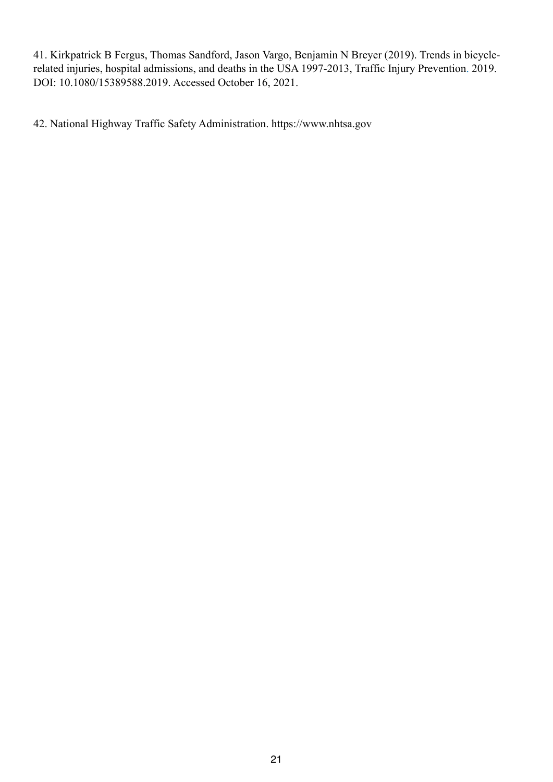41. Kirkpatrick B Fergus, Thomas Sandford, Jason Vargo, Benjamin N Breyer (2019). Trends in bicyclerelated injuries, hospital admissions, and deaths in the USA 1997-2013, Traffic Injury Prevention. 2019. DOI: 10.1080/15389588.2019. Accessed October 16, 2021.

42. National Highway Traffic Safety Administration. https://www.nhtsa.gov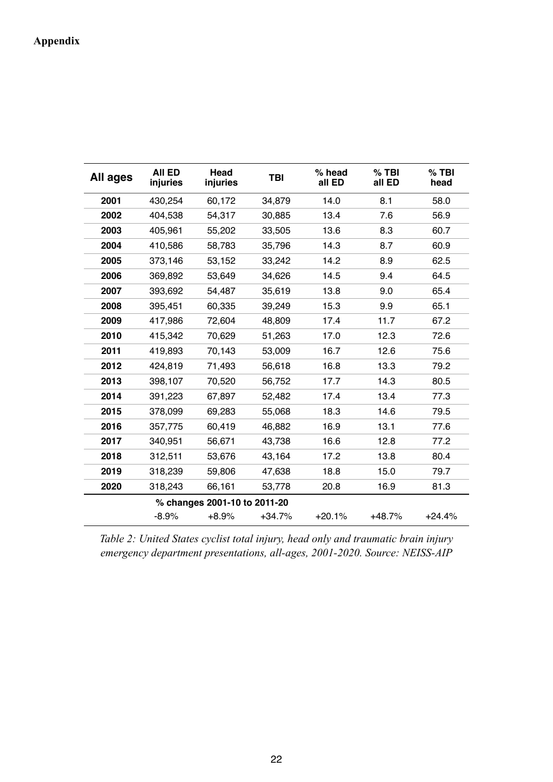# **Appendix**

| All ages | <b>AII ED</b><br>injuries | Head<br>injuries             | <b>TBI</b> | $%$ head<br>all ED | $%$ TBI<br>all ED | $%$ TBI<br>head |
|----------|---------------------------|------------------------------|------------|--------------------|-------------------|-----------------|
| 2001     | 430,254                   | 60,172                       | 34,879     | 14.0               | 8.1               | 58.0            |
| 2002     | 404,538                   | 54,317                       | 30,885     | 13.4               | 7.6               | 56.9            |
| 2003     | 405,961                   | 55,202                       | 33,505     | 13.6               | 8.3               | 60.7            |
| 2004     | 410,586                   | 58,783                       | 35,796     | 14.3               | 8.7               | 60.9            |
| 2005     | 373,146                   | 53,152                       | 33,242     | 14.2               | 8.9               | 62.5            |
| 2006     | 369,892                   | 53,649                       | 34,626     | 14.5               | 9.4               | 64.5            |
| 2007     | 393,692                   | 54,487                       | 35,619     | 13.8               | 9.0               | 65.4            |
| 2008     | 395,451                   | 60,335                       | 39,249     | 15.3               | 9.9               | 65.1            |
| 2009     | 417,986                   | 72,604                       | 48,809     | 17.4               | 11.7              | 67.2            |
| 2010     | 415,342                   | 70,629                       | 51,263     | 17.0               | 12.3              | 72.6            |
| 2011     | 419,893                   | 70,143                       | 53,009     | 16.7               | 12.6              | 75.6            |
| 2012     | 424,819                   | 71,493                       | 56,618     | 16.8               | 13.3              | 79.2            |
| 2013     | 398,107                   | 70,520                       | 56,752     | 17.7               | 14.3              | 80.5            |
| 2014     | 391,223                   | 67,897                       | 52,482     | 17.4               | 13.4              | 77.3            |
| 2015     | 378,099                   | 69,283                       | 55,068     | 18.3               | 14.6              | 79.5            |
| 2016     | 357,775                   | 60,419                       | 46,882     | 16.9               | 13.1              | 77.6            |
| 2017     | 340,951                   | 56,671                       | 43,738     | 16.6               | 12.8              | 77.2            |
| 2018     | 312,511                   | 53,676                       | 43,164     | 17.2               | 13.8              | 80.4            |
| 2019     | 318,239                   | 59,806                       | 47,638     | 18.8               | 15.0              | 79.7            |
| 2020     | 318,243                   | 66,161                       | 53,778     | 20.8               | 16.9              | 81.3            |
|          |                           | % changes 2001-10 to 2011-20 |            |                    |                   |                 |
|          | $-8.9%$                   | $+8.9%$                      | $+34.7%$   | $+20.1%$           | $+48.7%$          | $+24.4%$        |

*Table 2: United States cyclist total injury, head only and traumatic brain injury emergency department presentations, all-ages, 2001-2020. Source: NEISS-AIP*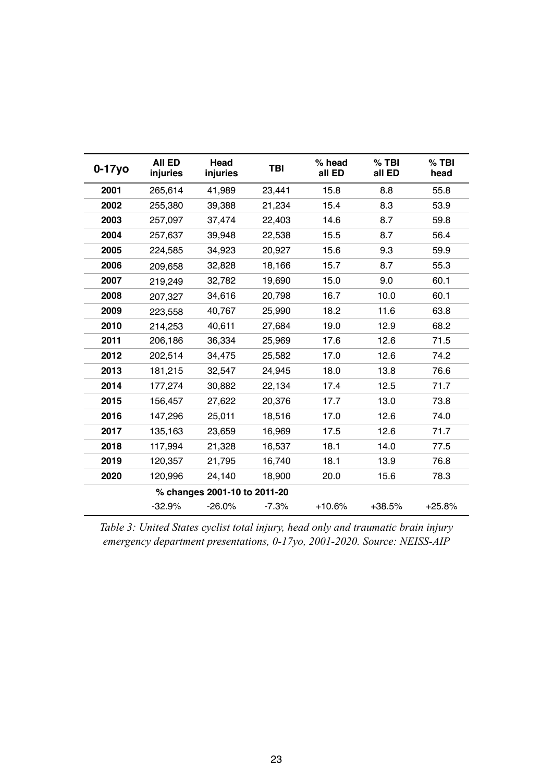| $0-17y$ o | All ED<br>injuries | Head<br>injuries             | <b>TBI</b> | % head<br>all ED | $%$ TBI<br>all ED | $%$ TBI<br>head |
|-----------|--------------------|------------------------------|------------|------------------|-------------------|-----------------|
| 2001      | 265,614            | 41,989                       | 23,441     | 15.8             | 8.8               | 55.8            |
| 2002      | 255,380            | 39,388                       | 21,234     | 15.4             | 8.3               | 53.9            |
| 2003      | 257,097            | 37,474                       | 22,403     | 14.6             | 8.7               | 59.8            |
| 2004      | 257,637            | 39,948                       | 22,538     | 15.5             | 8.7               | 56.4            |
| 2005      | 224,585            | 34,923                       | 20,927     | 15.6             | 9.3               | 59.9            |
| 2006      | 209,658            | 32,828                       | 18,166     | 15.7             | 8.7               | 55.3            |
| 2007      | 219,249            | 32,782                       | 19,690     | 15.0             | 9.0               | 60.1            |
| 2008      | 207,327            | 34,616                       | 20,798     | 16.7             | 10.0              | 60.1            |
| 2009      | 223,558            | 40,767                       | 25,990     | 18.2             | 11.6              | 63.8            |
| 2010      | 214,253            | 40,611                       | 27,684     | 19.0             | 12.9              | 68.2            |
| 2011      | 206,186            | 36,334                       | 25,969     | 17.6             | 12.6              | 71.5            |
| 2012      | 202,514            | 34,475                       | 25,582     | 17.0             | 12.6              | 74.2            |
| 2013      | 181,215            | 32,547                       | 24,945     | 18.0             | 13.8              | 76.6            |
| 2014      | 177,274            | 30,882                       | 22,134     | 17.4             | 12.5              | 71.7            |
| 2015      | 156,457            | 27,622                       | 20,376     | 17.7             | 13.0              | 73.8            |
| 2016      | 147,296            | 25,011                       | 18,516     | 17.0             | 12.6              | 74.0            |
| 2017      | 135,163            | 23,659                       | 16,969     | 17.5             | 12.6              | 71.7            |
| 2018      | 117,994            | 21,328                       | 16,537     | 18.1             | 14.0              | 77.5            |
| 2019      | 120,357            | 21,795                       | 16,740     | 18.1             | 13.9              | 76.8            |
| 2020      | 120,996            | 24,140                       | 18,900     | 20.0             | 15.6              | 78.3            |
|           |                    | % changes 2001-10 to 2011-20 |            |                  |                   |                 |
|           | $-32.9%$           | $-26.0%$                     | $-7.3%$    | $+10.6%$         | $+38.5%$          | $+25.8%$        |

*Table 3: United States cyclist total injury, head only and traumatic brain injury emergency department presentations, 0-17yo, 2001-2020. Source: NEISS-AIP*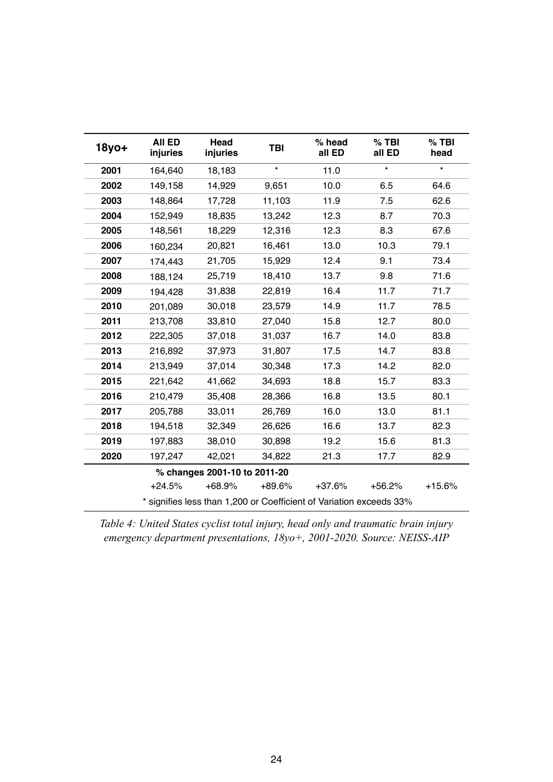| 18yo+ | <b>AII ED</b><br>injuries | Head<br>injuries             | <b>TBI</b> | % head<br>all ED                                                    | $%$ TBI<br>all ED | $%$ TBI<br>head |
|-------|---------------------------|------------------------------|------------|---------------------------------------------------------------------|-------------------|-----------------|
| 2001  | 164,640                   | 18,183                       | $\star$    | 11.0                                                                | $\star$           | $\star$         |
| 2002  | 149,158                   | 14,929                       | 9,651      | 10.0                                                                | 6.5               | 64.6            |
| 2003  | 148,864                   | 17,728                       | 11,103     | 11.9                                                                | 7.5               | 62.6            |
| 2004  | 152,949                   | 18,835                       | 13,242     | 12.3                                                                | 8.7               | 70.3            |
| 2005  | 148,561                   | 18,229                       | 12,316     | 12.3                                                                | 8.3               | 67.6            |
| 2006  | 160,234                   | 20,821                       | 16,461     | 13.0                                                                | 10.3              | 79.1            |
| 2007  | 174,443                   | 21,705                       | 15,929     | 12.4                                                                | 9.1               | 73.4            |
| 2008  | 188,124                   | 25,719                       | 18,410     | 13.7                                                                | 9.8               | 71.6            |
| 2009  | 194,428                   | 31,838                       | 22,819     | 16.4                                                                | 11.7              | 71.7            |
| 2010  | 201,089                   | 30,018                       | 23,579     | 14.9                                                                | 11.7              | 78.5            |
| 2011  | 213,708                   | 33,810                       | 27,040     | 15.8                                                                | 12.7              | 80.0            |
| 2012  | 222,305                   | 37,018                       | 31,037     | 16.7                                                                | 14.0              | 83.8            |
| 2013  | 216,892                   | 37,973                       | 31,807     | 17.5                                                                | 14.7              | 83.8            |
| 2014  | 213,949                   | 37,014                       | 30,348     | 17.3                                                                | 14.2              | 82.0            |
| 2015  | 221,642                   | 41,662                       | 34,693     | 18.8                                                                | 15.7              | 83.3            |
| 2016  | 210,479                   | 35,408                       | 28,366     | 16.8                                                                | 13.5              | 80.1            |
| 2017  | 205,788                   | 33,011                       | 26,769     | 16.0                                                                | 13.0              | 81.1            |
| 2018  | 194,518                   | 32,349                       | 26,626     | 16.6                                                                | 13.7              | 82.3            |
| 2019  | 197,883                   | 38,010                       | 30,898     | 19.2                                                                | 15.6              | 81.3            |
| 2020  | 197,247                   | 42,021                       | 34,822     | 21.3                                                                | 17.7              | 82.9            |
|       |                           | % changes 2001-10 to 2011-20 |            |                                                                     |                   |                 |
|       | $+24.5%$                  | $+68.9%$                     | $+89.6%$   | $+37.6%$                                                            | $+56.2%$          | $+15.6%$        |
|       |                           |                              |            | * signifies less than 1,200 or Coefficient of Variation exceeds 33% |                   |                 |

*Table 4: United States cyclist total injury, head only and traumatic brain injury emergency department presentations, 18yo+, 2001-2020. Source: NEISS-AIP*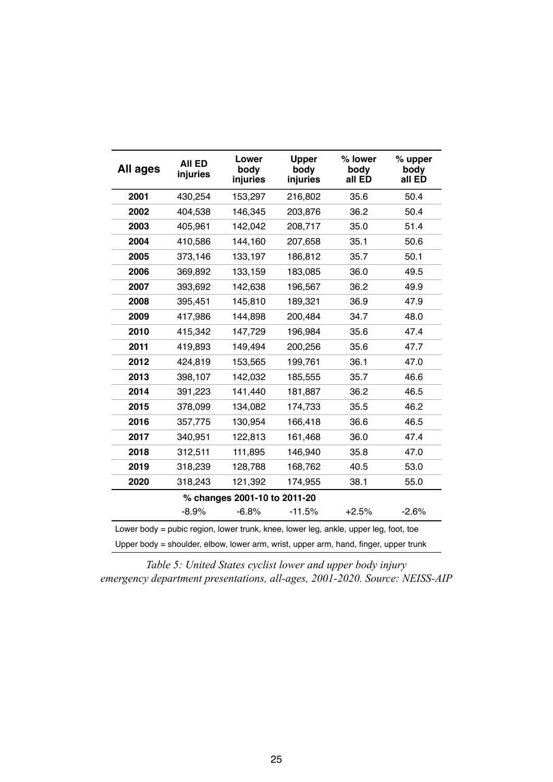| All ages | <b>AII ED</b><br>injuries | Lower<br>body<br>injuries    | <b>Upper</b><br>body<br>injuries                                                     | % lower<br>body<br>all ED | % upper<br>body<br>all ED |
|----------|---------------------------|------------------------------|--------------------------------------------------------------------------------------|---------------------------|---------------------------|
| 2001     | 430,254                   | 153,297                      | 216,802                                                                              | 35.6                      | 50.4                      |
| 2002     | 404,538                   | 146,345                      | 203,876                                                                              | 36.2                      | 50.4                      |
| 2003     | 405,961                   | 142,042                      | 208,717                                                                              | 35.0                      | 51.4                      |
| 2004     | 410,586                   | 144,160                      | 207,658                                                                              | 35.1                      | 50.6                      |
| 2005     | 373,146                   | 133,197                      | 186,812                                                                              | 35.7                      | 50.1                      |
| 2006     | 369,892                   | 133,159                      | 183,085                                                                              | 36.0                      | 49.5                      |
| 2007     | 393,692                   | 142,638                      | 196,567                                                                              | 36.2                      | 49.9                      |
| 2008     | 395,451                   | 145,810                      | 189,321                                                                              | 36.9                      | 47.9                      |
| 2009     | 417,986                   | 144,898                      | 200,484                                                                              | 34.7                      | 48.0                      |
| 2010     | 415,342                   | 147,729                      | 196,984                                                                              | 35.6                      | 47.4                      |
| 2011     | 419,893                   | 149,494                      | 200,256                                                                              | 35.6                      | 47.7                      |
| 2012     | 424,819                   | 153,565                      | 199,761                                                                              | 36.1                      | 47.0                      |
| 2013     | 398,107                   | 142,032                      | 185,555                                                                              | 35.7                      | 46.6                      |
| 2014     | 391,223                   | 141,440                      | 181,887                                                                              | 36.2                      | 46.5                      |
| 2015     | 378,099                   | 134,082                      | 174,733                                                                              | 35.5                      | 46.2                      |
| 2016     | 357,775                   | 130,954                      | 166,418                                                                              | 36.6                      | 46.5                      |
| 2017     | 340,951                   | 122,813                      | 161,468                                                                              | 36.0                      | 47.4                      |
| 2018     | 312,511                   | 111,895                      | 146,940                                                                              | 35.8                      | 47.0                      |
| 2019     | 318,239                   | 128,788                      | 168,762                                                                              | 40.5                      | 53.0                      |
| 2020     | 318,243                   | 121,392                      | 174,955                                                                              | 38.1                      | 55.0                      |
|          |                           | % changes 2001-10 to 2011-20 |                                                                                      |                           |                           |
|          | $-8.9%$                   | $-6.8%$                      | $-11.5%$                                                                             | $+2.5%$                   | $-2.6%$                   |
|          |                           |                              | Lower body = pubic region, lower trunk, knee, lower leg, ankle, upper leg, foot, toe |                           |                           |
|          |                           |                              | Upper body = shoulder, elbow, lower arm, wrist, upper arm, hand, finger, upper trunk |                           |                           |

*Table 5: United States cyclist lower and upper body injury emergency department presentations, all-ages, 2001-2020. Source: NEISS-AIP*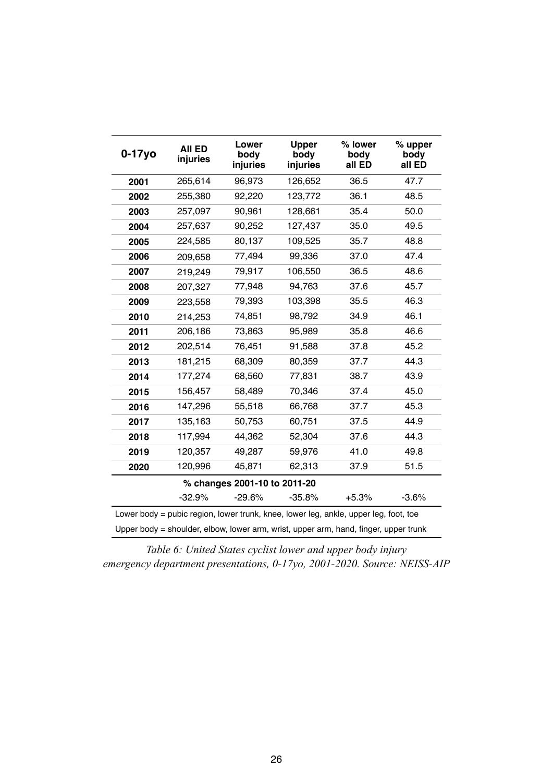| $0-17y$ o | <b>AII ED</b><br>injuries                                                            | Lower<br>body<br>injuries    | <b>Upper</b><br>body<br>injuries | % lower<br>body<br>all ED | % upper<br>body<br>all ED |
|-----------|--------------------------------------------------------------------------------------|------------------------------|----------------------------------|---------------------------|---------------------------|
| 2001      | 265,614                                                                              | 96,973                       | 126,652                          | 36.5                      | 47.7                      |
| 2002      | 255,380                                                                              | 92,220                       | 123,772                          | 36.1                      | 48.5                      |
| 2003      | 257,097                                                                              | 90,961                       | 128,661                          | 35.4                      | 50.0                      |
| 2004      | 257,637                                                                              | 90,252                       | 127,437                          | 35.0                      | 49.5                      |
| 2005      | 224,585                                                                              | 80,137                       | 109,525                          | 35.7                      | 48.8                      |
| 2006      | 209,658                                                                              | 77,494                       | 99,336                           | 37.0                      | 47.4                      |
| 2007      | 219,249                                                                              | 79,917                       | 106,550                          | 36.5                      | 48.6                      |
| 2008      | 207,327                                                                              | 77,948                       | 94,763                           | 37.6                      | 45.7                      |
| 2009      | 223,558                                                                              | 79,393                       | 103,398                          | 35.5                      | 46.3                      |
| 2010      | 214,253                                                                              | 74,851                       | 98,792                           | 34.9                      | 46.1                      |
| 2011      | 206,186                                                                              | 73,863                       | 95,989                           | 35.8                      | 46.6                      |
| 2012      | 202,514                                                                              | 76,451                       | 91,588                           | 37.8                      | 45.2                      |
| 2013      | 181,215                                                                              | 68,309                       | 80,359                           | 37.7                      | 44.3                      |
| 2014      | 177,274                                                                              | 68,560                       | 77,831                           | 38.7                      | 43.9                      |
| 2015      | 156,457                                                                              | 58,489                       | 70,346                           | 37.4                      | 45.0                      |
| 2016      | 147,296                                                                              | 55,518                       | 66,768                           | 37.7                      | 45.3                      |
| 2017      | 135,163                                                                              | 50,753                       | 60,751                           | 37.5                      | 44.9                      |
| 2018      | 117,994                                                                              | 44,362                       | 52,304                           | 37.6                      | 44.3                      |
| 2019      | 120,357                                                                              | 49,287                       | 59,976                           | 41.0                      | 49.8                      |
| 2020      | 120,996                                                                              | 45,871                       | 62,313                           | 37.9                      | 51.5                      |
|           |                                                                                      | % changes 2001-10 to 2011-20 |                                  |                           |                           |
|           | $-32.9%$                                                                             | $-29.6%$                     | $-35.8%$                         | $+5.3%$                   | $-3.6%$                   |
|           | Lower body = pubic region, lower trunk, knee, lower leg, ankle, upper leg, foot, toe |                              |                                  |                           |                           |
|           | Upper body = shoulder, elbow, lower arm, wrist, upper arm, hand, finger, upper trunk |                              |                                  |                           |                           |

*Table 6: United States cyclist lower and upper body injury emergency department presentations, 0-17yo, 2001-2020. Source: NEISS-AIP*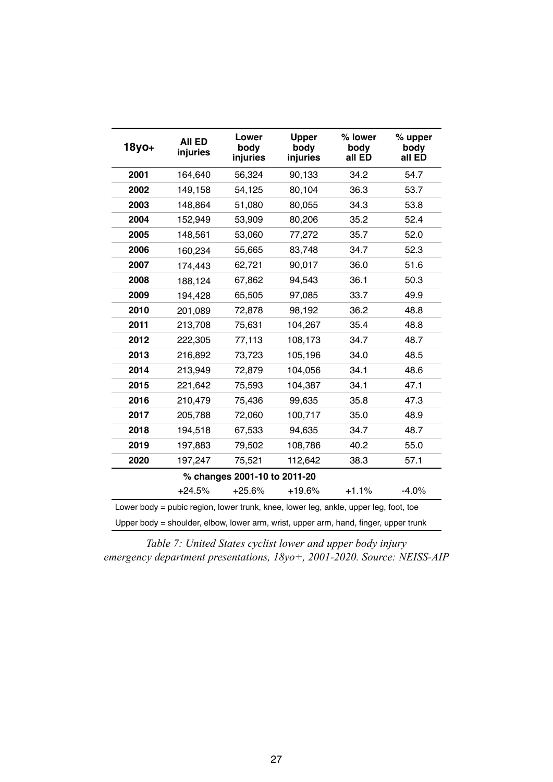| $18y0+$ | <b>AII ED</b><br>injuries                                                            | Lower<br>body<br>injuries    | <b>Upper</b><br>body<br>injuries | % lower<br>body<br>all ED | % upper<br>body<br>all ED |
|---------|--------------------------------------------------------------------------------------|------------------------------|----------------------------------|---------------------------|---------------------------|
| 2001    | 164,640                                                                              | 56,324                       | 90,133                           | 34.2                      | 54.7                      |
| 2002    | 149,158                                                                              | 54,125                       | 80,104                           | 36.3                      | 53.7                      |
| 2003    | 148,864                                                                              | 51,080                       | 80,055                           | 34.3                      | 53.8                      |
| 2004    | 152,949                                                                              | 53,909                       | 80,206                           | 35.2                      | 52.4                      |
| 2005    | 148,561                                                                              | 53,060                       | 77,272                           | 35.7                      | 52.0                      |
| 2006    | 160,234                                                                              | 55,665                       | 83,748                           | 34.7                      | 52.3                      |
| 2007    | 174,443                                                                              | 62,721                       | 90,017                           | 36.0                      | 51.6                      |
| 2008    | 188,124                                                                              | 67,862                       | 94,543                           | 36.1                      | 50.3                      |
| 2009    | 194,428                                                                              | 65,505                       | 97,085                           | 33.7                      | 49.9                      |
| 2010    | 201,089                                                                              | 72,878                       | 98,192                           | 36.2                      | 48.8                      |
| 2011    | 213,708                                                                              | 75,631                       | 104,267                          | 35.4                      | 48.8                      |
| 2012    | 222,305                                                                              | 77,113                       | 108,173                          | 34.7                      | 48.7                      |
| 2013    | 216,892                                                                              | 73,723                       | 105,196                          | 34.0                      | 48.5                      |
| 2014    | 213,949                                                                              | 72,879                       | 104,056                          | 34.1                      | 48.6                      |
| 2015    | 221,642                                                                              | 75,593                       | 104,387                          | 34.1                      | 47.1                      |
| 2016    | 210,479                                                                              | 75,436                       | 99,635                           | 35.8                      | 47.3                      |
| 2017    | 205,788                                                                              | 72,060                       | 100,717                          | 35.0                      | 48.9                      |
| 2018    | 194,518                                                                              | 67,533                       | 94,635                           | 34.7                      | 48.7                      |
| 2019    | 197,883                                                                              | 79,502                       | 108,786                          | 40.2                      | 55.0                      |
| 2020    | 197,247                                                                              | 75,521                       | 112,642                          | 38.3                      | 57.1                      |
|         |                                                                                      | % changes 2001-10 to 2011-20 |                                  |                           |                           |
|         | $+24.5%$                                                                             | $+25.6%$                     | $+19.6%$                         | $+1.1%$                   | $-4.0%$                   |
|         | Lower body = pubic region, lower trunk, knee, lower leg, ankle, upper leg, foot, toe |                              |                                  |                           |                           |
|         | Upper body = shoulder, elbow, lower arm, wrist, upper arm, hand, finger, upper trunk |                              |                                  |                           |                           |

*Table 7: United States cyclist lower and upper body injury emergency department presentations, 18yo+, 2001-2020. Source: NEISS-AIP*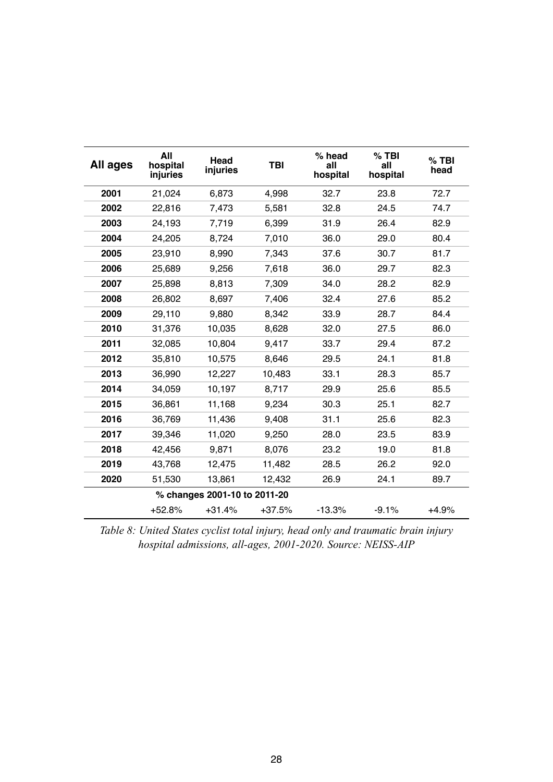| All ages | All<br>hospital<br>injuries | Head<br>injuries             | <b>TBI</b> | % head<br>all<br>hospital | $%$ TBI<br>all<br>hospital | $%$ TBI<br>head |
|----------|-----------------------------|------------------------------|------------|---------------------------|----------------------------|-----------------|
| 2001     | 21,024                      | 6,873                        | 4,998      | 32.7                      | 23.8                       | 72.7            |
| 2002     | 22,816                      | 7,473                        | 5,581      | 32.8                      | 24.5                       | 74.7            |
| 2003     | 24,193                      | 7,719                        | 6,399      | 31.9                      | 26.4                       | 82.9            |
| 2004     | 24,205                      | 8,724                        | 7,010      | 36.0                      | 29.0                       | 80.4            |
| 2005     | 23,910                      | 8,990                        | 7,343      | 37.6                      | 30.7                       | 81.7            |
| 2006     | 25,689                      | 9,256                        | 7,618      | 36.0                      | 29.7                       | 82.3            |
| 2007     | 25,898                      | 8,813                        | 7,309      | 34.0                      | 28.2                       | 82.9            |
| 2008     | 26,802                      | 8,697                        | 7,406      | 32.4                      | 27.6                       | 85.2            |
| 2009     | 29,110                      | 9,880                        | 8,342      | 33.9                      | 28.7                       | 84.4            |
| 2010     | 31,376                      | 10,035                       | 8,628      | 32.0                      | 27.5                       | 86.0            |
| 2011     | 32,085                      | 10,804                       | 9,417      | 33.7                      | 29.4                       | 87.2            |
| 2012     | 35,810                      | 10,575                       | 8,646      | 29.5                      | 24.1                       | 81.8            |
| 2013     | 36,990                      | 12,227                       | 10,483     | 33.1                      | 28.3                       | 85.7            |
| 2014     | 34,059                      | 10,197                       | 8,717      | 29.9                      | 25.6                       | 85.5            |
| 2015     | 36,861                      | 11,168                       | 9,234      | 30.3                      | 25.1                       | 82.7            |
| 2016     | 36,769                      | 11,436                       | 9,408      | 31.1                      | 25.6                       | 82.3            |
| 2017     | 39,346                      | 11,020                       | 9,250      | 28.0                      | 23.5                       | 83.9            |
| 2018     | 42,456                      | 9,871                        | 8,076      | 23.2                      | 19.0                       | 81.8            |
| 2019     | 43,768                      | 12,475                       | 11,482     | 28.5                      | 26.2                       | 92.0            |
| 2020     | 51,530                      | 13,861                       | 12,432     | 26.9                      | 24.1                       | 89.7            |
|          |                             | % changes 2001-10 to 2011-20 |            |                           |                            |                 |
|          | $+52.8%$                    | $+31.4%$                     | $+37.5%$   | $-13.3%$                  | $-9.1%$                    | $+4.9%$         |

*Table 8: United States cyclist total injury, head only and traumatic brain injury hospital admissions, all-ages, 2001-2020. Source: NEISS-AIP*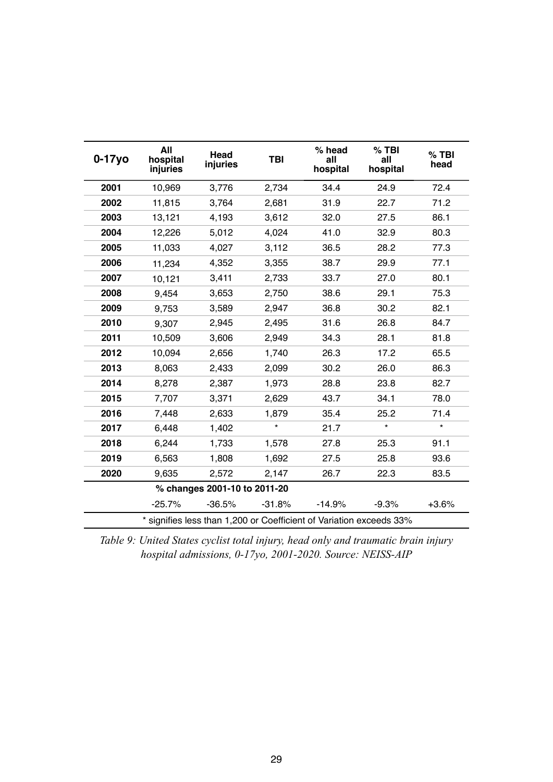| $0-17y$ o | All<br>hospital<br>injuries | Head<br>injuries             | <b>TBI</b> | % head<br>all<br>hospital                                           | $%$ TBI<br>all<br>hospital | $%$ TBI<br>head |
|-----------|-----------------------------|------------------------------|------------|---------------------------------------------------------------------|----------------------------|-----------------|
| 2001      | 10,969                      | 3,776                        | 2,734      | 34.4                                                                | 24.9                       | 72.4            |
| 2002      | 11,815                      | 3,764                        | 2,681      | 31.9                                                                | 22.7                       | 71.2            |
| 2003      | 13,121                      | 4,193                        | 3,612      | 32.0                                                                | 27.5                       | 86.1            |
| 2004      | 12,226                      | 5,012                        | 4,024      | 41.0                                                                | 32.9                       | 80.3            |
| 2005      | 11,033                      | 4,027                        | 3,112      | 36.5                                                                | 28.2                       | 77.3            |
| 2006      | 11,234                      | 4,352                        | 3,355      | 38.7                                                                | 29.9                       | 77.1            |
| 2007      | 10,121                      | 3,411                        | 2,733      | 33.7                                                                | 27.0                       | 80.1            |
| 2008      | 9,454                       | 3,653                        | 2,750      | 38.6                                                                | 29.1                       | 75.3            |
| 2009      | 9,753                       | 3,589                        | 2,947      | 36.8                                                                | 30.2                       | 82.1            |
| 2010      | 9,307                       | 2,945                        | 2,495      | 31.6                                                                | 26.8                       | 84.7            |
| 2011      | 10,509                      | 3,606                        | 2,949      | 34.3                                                                | 28.1                       | 81.8            |
| 2012      | 10,094                      | 2,656                        | 1,740      | 26.3                                                                | 17.2                       | 65.5            |
| 2013      | 8,063                       | 2,433                        | 2,099      | 30.2                                                                | 26.0                       | 86.3            |
| 2014      | 8,278                       | 2,387                        | 1,973      | 28.8                                                                | 23.8                       | 82.7            |
| 2015      | 7,707                       | 3,371                        | 2,629      | 43.7                                                                | 34.1                       | 78.0            |
| 2016      | 7,448                       | 2,633                        | 1,879      | 35.4                                                                | 25.2                       | 71.4            |
| 2017      | 6,448                       | 1,402                        | $\star$    | 21.7                                                                | $\star$                    | $\star$         |
| 2018      | 6,244                       | 1,733                        | 1,578      | 27.8                                                                | 25.3                       | 91.1            |
| 2019      | 6,563                       | 1,808                        | 1,692      | 27.5                                                                | 25.8                       | 93.6            |
| 2020      | 9,635                       | 2,572                        | 2,147      | 26.7                                                                | 22.3                       | 83.5            |
|           |                             | % changes 2001-10 to 2011-20 |            |                                                                     |                            |                 |
|           | $-25.7%$                    | $-36.5%$                     | $-31.8%$   | $-14.9%$                                                            | $-9.3%$                    | $+3.6%$         |
|           |                             |                              |            | * signifies less than 1,200 or Coefficient of Variation exceeds 33% |                            |                 |

*Table 9: United States cyclist total injury, head only and traumatic brain injury hospital admissions, 0-17yo, 2001-2020. Source: NEISS-AIP*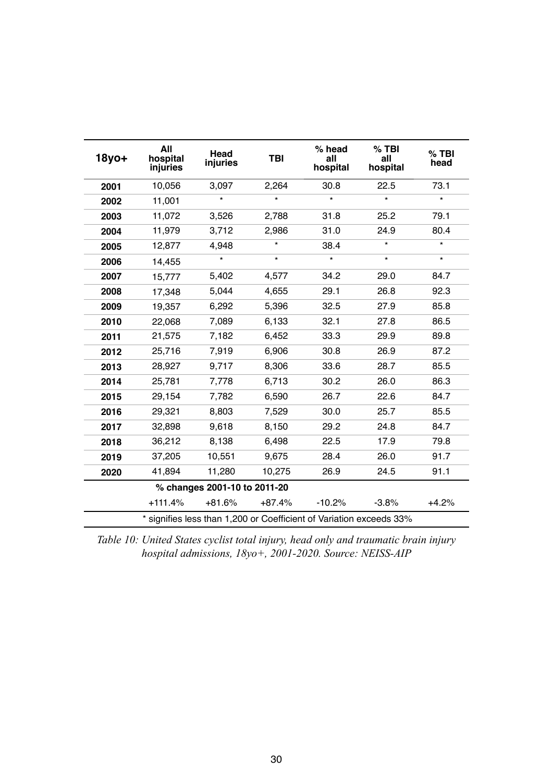| 18yo+ | All<br>hospital<br>injuries | Head<br>injuries             | <b>TBI</b> | % head<br>all<br>hospital | $%$ TBI<br>all<br>hospital                                          | $%$ TBI<br>head |
|-------|-----------------------------|------------------------------|------------|---------------------------|---------------------------------------------------------------------|-----------------|
| 2001  | 10,056                      | 3,097                        | 2,264      | 30.8                      | 22.5                                                                | 73.1            |
| 2002  | 11,001                      | $\star$                      | $\star$    | $\star$                   | $\star$                                                             | $\star$         |
| 2003  | 11,072                      | 3,526                        | 2,788      | 31.8                      | 25.2                                                                | 79.1            |
| 2004  | 11,979                      | 3,712                        | 2,986      | 31.0                      | 24.9                                                                | 80.4            |
| 2005  | 12,877                      | 4,948                        | $\star$    | 38.4                      | $\star$                                                             | $\star$         |
| 2006  | 14,455                      | $\star$                      | $\star$    | $\star$                   | $\star$                                                             | $\star$         |
| 2007  | 15,777                      | 5,402                        | 4,577      | 34.2                      | 29.0                                                                | 84.7            |
| 2008  | 17,348                      | 5,044                        | 4,655      | 29.1                      | 26.8                                                                | 92.3            |
| 2009  | 19,357                      | 6,292                        | 5,396      | 32.5                      | 27.9                                                                | 85.8            |
| 2010  | 22,068                      | 7,089                        | 6,133      | 32.1                      | 27.8                                                                | 86.5            |
| 2011  | 21,575                      | 7,182                        | 6,452      | 33.3                      | 29.9                                                                | 89.8            |
| 2012  | 25,716                      | 7,919                        | 6,906      | 30.8                      | 26.9                                                                | 87.2            |
| 2013  | 28,927                      | 9,717                        | 8,306      | 33.6                      | 28.7                                                                | 85.5            |
| 2014  | 25,781                      | 7,778                        | 6,713      | 30.2                      | 26.0                                                                | 86.3            |
| 2015  | 29,154                      | 7,782                        | 6,590      | 26.7                      | 22.6                                                                | 84.7            |
| 2016  | 29,321                      | 8,803                        | 7,529      | 30.0                      | 25.7                                                                | 85.5            |
| 2017  | 32,898                      | 9,618                        | 8,150      | 29.2                      | 24.8                                                                | 84.7            |
| 2018  | 36,212                      | 8,138                        | 6,498      | 22.5                      | 17.9                                                                | 79.8            |
| 2019  | 37,205                      | 10,551                       | 9,675      | 28.4                      | 26.0                                                                | 91.7            |
| 2020  | 41,894                      | 11,280                       | 10,275     | 26.9                      | 24.5                                                                | 91.1            |
|       |                             | % changes 2001-10 to 2011-20 |            |                           |                                                                     |                 |
|       | $+111.4%$                   | $+81.6%$                     | $+87.4%$   | $-10.2%$                  | $-3.8%$                                                             | $+4.2%$         |
|       |                             |                              |            |                           | * signifies less than 1,200 or Coefficient of Variation exceeds 33% |                 |

*Table 10: United States cyclist total injury, head only and traumatic brain injury hospital admissions, 18yo+, 2001-2020. Source: NEISS-AIP*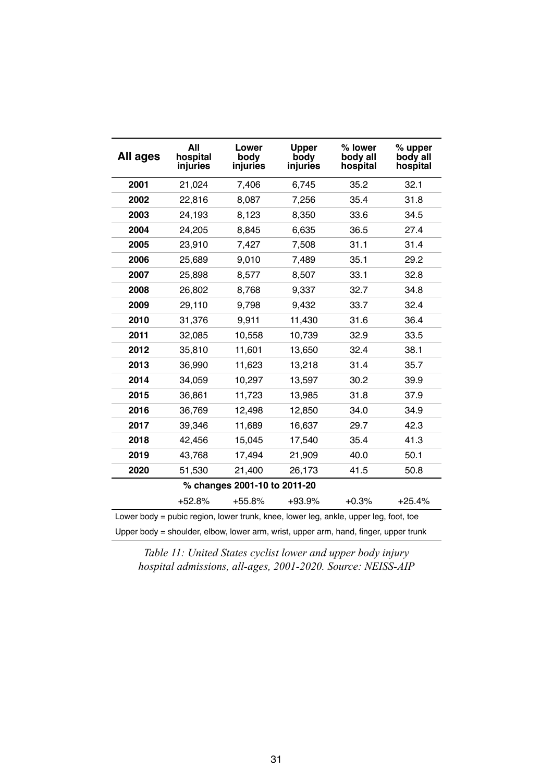| All ages | All<br>hospital<br>injuries | Lower<br>body<br>injuries    | <b>Upper</b><br>body<br>injuries | % lower<br>body all<br>hospital                                                      | % upper<br>body all<br>hospital |
|----------|-----------------------------|------------------------------|----------------------------------|--------------------------------------------------------------------------------------|---------------------------------|
| 2001     | 21,024                      | 7,406                        | 6,745                            | 35.2                                                                                 | 32.1                            |
| 2002     | 22,816                      | 8,087                        | 7,256                            | 35.4                                                                                 | 31.8                            |
| 2003     | 24,193                      | 8,123                        | 8,350                            | 33.6                                                                                 | 34.5                            |
| 2004     | 24,205                      | 8,845                        | 6,635                            | 36.5                                                                                 | 27.4                            |
| 2005     | 23,910                      | 7,427                        | 7,508                            | 31.1                                                                                 | 31.4                            |
| 2006     | 25,689                      | 9,010                        | 7,489                            | 35.1                                                                                 | 29.2                            |
| 2007     | 25,898                      | 8,577                        | 8,507                            | 33.1                                                                                 | 32.8                            |
| 2008     | 26,802                      | 8,768                        | 9,337                            | 32.7                                                                                 | 34.8                            |
| 2009     | 29,110                      | 9,798                        | 9,432                            | 33.7                                                                                 | 32.4                            |
| 2010     | 31,376                      | 9,911                        | 11,430                           | 31.6                                                                                 | 36.4                            |
| 2011     | 32,085                      | 10,558                       | 10,739                           | 32.9                                                                                 | 33.5                            |
| 2012     | 35,810                      | 11,601                       | 13,650                           | 32.4                                                                                 | 38.1                            |
| 2013     | 36,990                      | 11,623                       | 13,218                           | 31.4                                                                                 | 35.7                            |
| 2014     | 34,059                      | 10,297                       | 13,597                           | 30.2                                                                                 | 39.9                            |
| 2015     | 36,861                      | 11,723                       | 13,985                           | 31.8                                                                                 | 37.9                            |
| 2016     | 36,769                      | 12,498                       | 12,850                           | 34.0                                                                                 | 34.9                            |
| 2017     | 39,346                      | 11,689                       | 16,637                           | 29.7                                                                                 | 42.3                            |
| 2018     | 42,456                      | 15,045                       | 17,540                           | 35.4                                                                                 | 41.3                            |
| 2019     | 43,768                      | 17,494                       | 21,909                           | 40.0                                                                                 | 50.1                            |
| 2020     | 51,530                      | 21,400                       | 26,173                           | 41.5                                                                                 | 50.8                            |
|          |                             | % changes 2001-10 to 2011-20 |                                  |                                                                                      |                                 |
|          | $+52.8%$                    | $+55.8%$                     | +93.9%                           | $+0.3%$                                                                              | $+25.4%$                        |
|          |                             |                              |                                  | Lower body = pubic region, lower trunk, knee, lower leg, ankle, upper leg, foot, toe |                                 |
|          |                             |                              |                                  | Upper body = shoulder, elbow, lower arm, wrist, upper arm, hand, finger, upper trunk |                                 |

*Table 11: United States cyclist lower and upper body injury hospital admissions, all-ages, 2001-2020. Source: NEISS-AIP*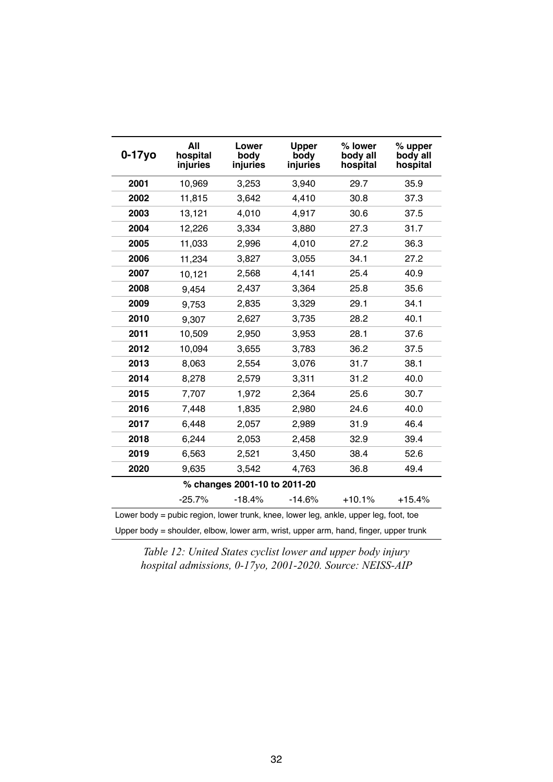| $0-17y$ o                                                                            | All<br>hospital<br>injuries | Lower<br>body<br>injuries    | <b>Upper</b><br>body<br>injuries | % lower<br>body all<br>hospital | % upper<br>body all<br>hospital |  |
|--------------------------------------------------------------------------------------|-----------------------------|------------------------------|----------------------------------|---------------------------------|---------------------------------|--|
| 2001                                                                                 | 10,969                      | 3,253                        | 3,940                            | 29.7                            | 35.9                            |  |
| 2002                                                                                 | 11,815                      | 3,642                        | 4,410                            | 30.8                            | 37.3                            |  |
| 2003                                                                                 | 13,121                      | 4,010                        | 4,917                            | 30.6                            | 37.5                            |  |
| 2004                                                                                 | 12,226                      | 3,334                        | 3,880                            | 27.3                            | 31.7                            |  |
| 2005                                                                                 | 11,033                      | 2,996                        | 4,010                            | 27.2                            | 36.3                            |  |
| 2006                                                                                 | 11,234                      | 3,827                        | 3,055                            | 34.1                            | 27.2                            |  |
| 2007                                                                                 | 10,121                      | 2,568                        | 4,141                            | 25.4                            | 40.9                            |  |
| 2008                                                                                 | 9,454                       | 2,437                        | 3,364                            | 25.8                            | 35.6                            |  |
| 2009                                                                                 | 9,753                       | 2,835                        | 3,329                            | 29.1                            | 34.1                            |  |
| 2010                                                                                 | 9,307                       | 2,627                        | 3,735                            | 28.2                            | 40.1                            |  |
| 2011                                                                                 | 10,509                      | 2,950                        | 3,953                            | 28.1                            | 37.6                            |  |
| 2012                                                                                 | 10,094                      | 3,655                        | 3,783                            | 36.2                            | 37.5                            |  |
| 2013                                                                                 | 8,063                       | 2,554                        | 3,076                            | 31.7                            | 38.1                            |  |
| 2014                                                                                 | 8,278                       | 2,579                        | 3,311                            | 31.2                            | 40.0                            |  |
| 2015                                                                                 | 7,707                       | 1,972                        | 2,364                            | 25.6                            | 30.7                            |  |
| 2016                                                                                 | 7,448                       | 1,835                        | 2,980                            | 24.6                            | 40.0                            |  |
| 2017                                                                                 | 6,448                       | 2,057                        | 2,989                            | 31.9                            | 46.4                            |  |
| 2018                                                                                 | 6,244                       | 2,053                        | 2,458                            | 32.9                            | 39.4                            |  |
| 2019                                                                                 | 6,563                       | 2,521                        | 3,450                            | 38.4                            | 52.6                            |  |
| 2020                                                                                 | 9,635                       | 3,542                        | 4,763                            | 36.8                            | 49.4                            |  |
|                                                                                      |                             | % changes 2001-10 to 2011-20 |                                  |                                 |                                 |  |
|                                                                                      | $-25.7%$                    | $-18.4%$                     | $-14.6%$                         | $+10.1%$                        | $+15.4%$                        |  |
| Lower body = pubic region, lower trunk, knee, lower leg, ankle, upper leg, foot, toe |                             |                              |                                  |                                 |                                 |  |
| Upper body = shoulder, elbow, lower arm, wrist, upper arm, hand, finger, upper trunk |                             |                              |                                  |                                 |                                 |  |

*Table 12: United States cyclist lower and upper body injury hospital admissions, 0-17yo, 2001-2020. Source: NEISS-AIP*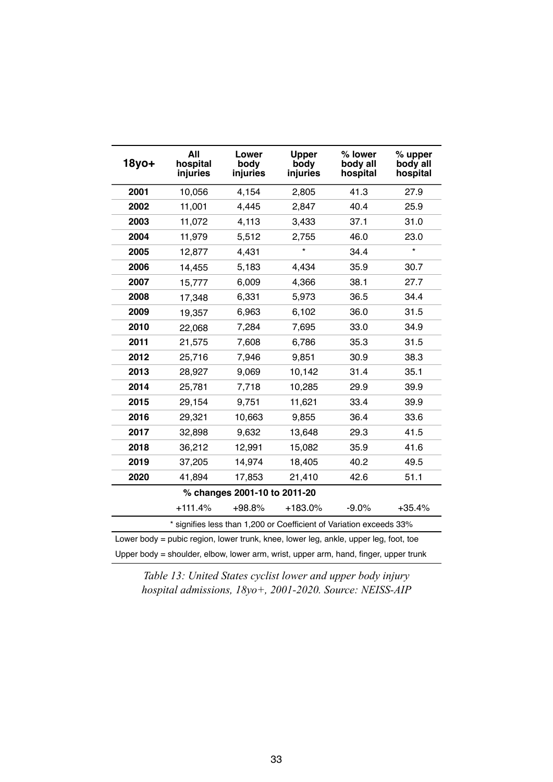| $18$ yo+                                                                             | All<br>hospital<br>injuries  | Lower<br>body<br>injuries | <b>Upper</b><br>body<br>injuries                                    | % lower<br>body all<br>hospital | % upper<br>body all<br>hospital |  |  |
|--------------------------------------------------------------------------------------|------------------------------|---------------------------|---------------------------------------------------------------------|---------------------------------|---------------------------------|--|--|
| 2001                                                                                 | 10,056                       | 4,154                     | 2,805                                                               | 41.3                            | 27.9                            |  |  |
| 2002                                                                                 | 11,001                       | 4,445                     | 2,847                                                               | 40.4                            | 25.9                            |  |  |
| 2003                                                                                 | 11,072                       | 4,113                     | 3,433                                                               | 37.1                            | 31.0                            |  |  |
| 2004                                                                                 | 11,979                       | 5,512                     | 2,755                                                               | 46.0                            | 23.0                            |  |  |
| 2005                                                                                 | 12,877                       | 4,431                     | $\star$                                                             | 34.4                            | $\star$                         |  |  |
| 2006                                                                                 | 14,455                       | 5,183                     | 4,434                                                               | 35.9                            | 30.7                            |  |  |
| 2007                                                                                 | 15,777                       | 6,009                     | 4,366                                                               | 38.1                            | 27.7                            |  |  |
| 2008                                                                                 | 17,348                       | 6,331                     | 5,973                                                               | 36.5                            | 34.4                            |  |  |
| 2009                                                                                 | 19,357                       | 6,963                     | 6,102                                                               | 36.0                            | 31.5                            |  |  |
| 2010                                                                                 | 22,068                       | 7,284                     | 7,695                                                               | 33.0                            | 34.9                            |  |  |
| 2011                                                                                 | 21,575                       | 7,608                     | 6,786                                                               | 35.3                            | 31.5                            |  |  |
| 2012                                                                                 | 25,716                       | 7,946                     | 9,851                                                               | 30.9                            | 38.3                            |  |  |
| 2013                                                                                 | 28,927                       | 9,069                     | 10,142                                                              | 31.4                            | 35.1                            |  |  |
| 2014                                                                                 | 25,781                       | 7,718                     | 10,285                                                              | 29.9                            | 39.9                            |  |  |
| 2015                                                                                 | 29,154                       | 9,751                     | 11,621                                                              | 33.4                            | 39.9                            |  |  |
| 2016                                                                                 | 29,321                       | 10,663                    | 9,855                                                               | 36.4                            | 33.6                            |  |  |
| 2017                                                                                 | 32,898                       | 9,632                     | 13,648                                                              | 29.3                            | 41.5                            |  |  |
| 2018                                                                                 | 36,212                       | 12,991                    | 15,082                                                              | 35.9                            | 41.6                            |  |  |
| 2019                                                                                 | 37,205                       | 14,974                    | 18,405                                                              | 40.2                            | 49.5                            |  |  |
| 2020                                                                                 | 41,894                       | 17,853                    | 21,410                                                              | 42.6                            | 51.1                            |  |  |
|                                                                                      | % changes 2001-10 to 2011-20 |                           |                                                                     |                                 |                                 |  |  |
|                                                                                      | $+111.4%$                    | $+98.8%$                  | $+183.0%$                                                           | $-9.0%$                         | $+35.4%$                        |  |  |
|                                                                                      |                              |                           | * signifies less than 1,200 or Coefficient of Variation exceeds 33% |                                 |                                 |  |  |
| Lower body = pubic region, lower trunk, knee, lower leg, ankle, upper leg, foot, toe |                              |                           |                                                                     |                                 |                                 |  |  |
| Upper body = shoulder, elbow, lower arm, wrist, upper arm, hand, finger, upper trunk |                              |                           |                                                                     |                                 |                                 |  |  |

*Table 13: United States cyclist lower and upper body injury hospital admissions, 18yo+, 2001-2020. Source: NEISS-AIP*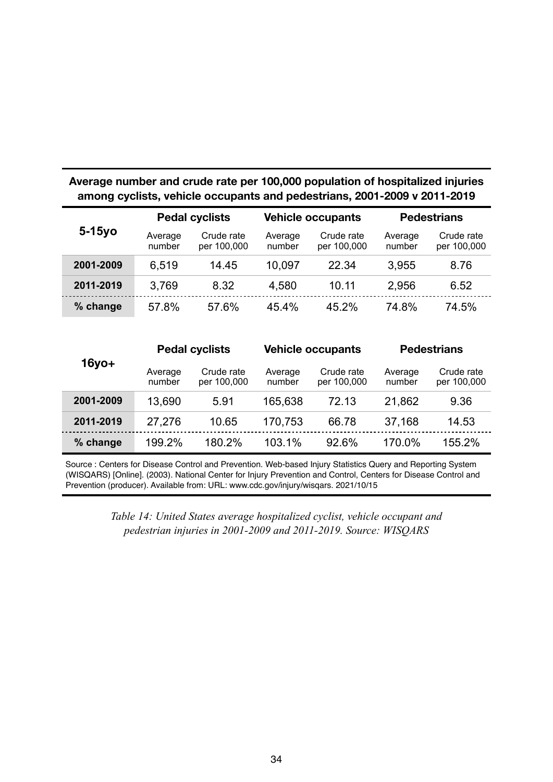# **Average number and crude rate per 100,000 population of hospitalized injuries among cyclists, vehicle occupants and pedestrians, 2001-2009 v 2011-2019**

|                                | <b>Pedal cyclists</b> |                           | <b>Vehicle occupants</b> |                           | <b>Pedestrians</b> |                           |
|--------------------------------|-----------------------|---------------------------|--------------------------|---------------------------|--------------------|---------------------------|
| $5-15y$ o<br>Average<br>number |                       | Crude rate<br>per 100,000 | Average<br>number        | Crude rate<br>per 100,000 | Average<br>number  | Crude rate<br>per 100,000 |
| 2001-2009                      | 6,519                 | 14.45                     | 10,097                   | 22.34                     | 3,955              | 8.76                      |
| 2011-2019                      | 3,769                 | 8.32                      | 4,580                    | 10.11                     | 2,956              | 6.52                      |
| % change                       | 57.8%                 | 57.6%                     | 45.4%                    | 45.2%                     | 74.8%              | 74.5%                     |

|           | <b>Pedal cyclists</b>                                         |                   | <b>Vehicle occupants</b>  |                   | <b>Pedestrians</b>        |        |
|-----------|---------------------------------------------------------------|-------------------|---------------------------|-------------------|---------------------------|--------|
|           | $16$ yo $+$<br>Crude rate<br>Average<br>number<br>per 100,000 | Average<br>number | Crude rate<br>per 100,000 | Average<br>number | Crude rate<br>per 100,000 |        |
| 2001-2009 | 13,690                                                        | 5.91              | 165,638                   | 72.13             | 21,862                    | 9.36   |
| 2011-2019 | 27,276                                                        | 10.65             | 170,753                   | 66.78             | 37,168                    | 14.53  |
| % change  | 199.2%                                                        | 180.2%            | 103.1%                    | 92.6%             | 170.0%                    | 155.2% |

Source : Centers for Disease Control and Prevention. Web-based Injury Statistics Query and Reporting System (WISQARS) [Online]. (2003). National Center for Injury Prevention and Control, Centers for Disease Control and Prevention (producer). Available from: URL: www.cdc.gov/injury/wisqars. 2021/10/15

> *Table 14: United States average hospitalized cyclist, vehicle occupant and pedestrian injuries in 2001-2009 and 2011-2019. Source: WISQARS*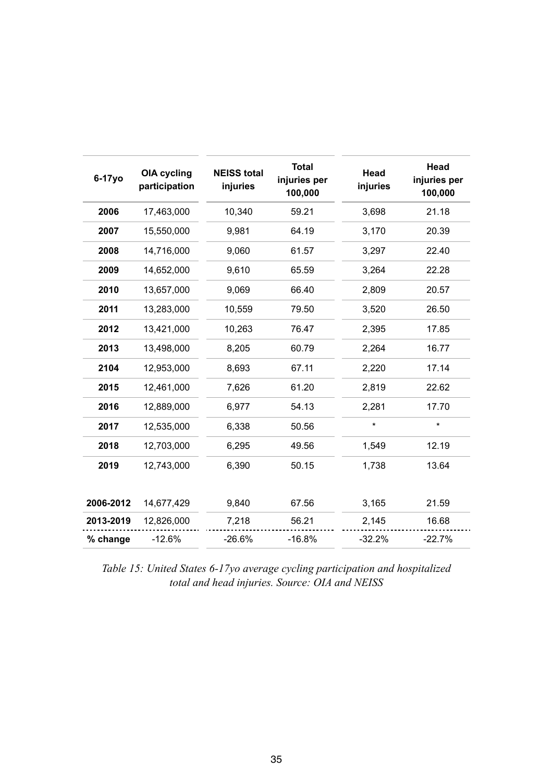| 6-17yo    | <b>OIA cycling</b><br>participation | <b>NEISS total</b><br>injuries | <b>Total</b><br>injuries per<br>100,000 | Head<br>injuries | Head<br>injuries per<br>100,000 |
|-----------|-------------------------------------|--------------------------------|-----------------------------------------|------------------|---------------------------------|
| 2006      | 17,463,000                          | 10,340                         | 59.21                                   | 3,698            | 21.18                           |
| 2007      | 15,550,000                          | 9,981                          | 64.19                                   | 3,170            | 20.39                           |
| 2008      | 14,716,000                          | 9,060                          | 61.57                                   | 3,297            | 22.40                           |
| 2009      | 14,652,000                          | 9,610                          | 65.59                                   | 3,264            | 22.28                           |
| 2010      | 13,657,000                          | 9,069                          | 66.40                                   | 2,809            | 20.57                           |
| 2011      | 13,283,000                          | 10,559                         | 79.50                                   | 3,520            | 26.50                           |
| 2012      | 13,421,000                          | 10,263                         | 76.47                                   | 2,395            | 17.85                           |
| 2013      | 13,498,000                          | 8,205                          | 60.79                                   | 2,264            | 16.77                           |
| 2104      | 12,953,000                          | 8,693                          | 67.11                                   | 2,220            | 17.14                           |
| 2015      | 12,461,000                          | 7,626                          | 61.20                                   | 2,819            | 22.62                           |
| 2016      | 12,889,000                          | 6,977                          | 54.13                                   | 2,281            | 17.70                           |
| 2017      | 12,535,000                          | 6,338                          | 50.56                                   | $\star$          | $\star$                         |
| 2018      | 12,703,000                          | 6,295                          | 49.56                                   | 1,549            | 12.19                           |
| 2019      | 12,743,000                          | 6,390                          | 50.15                                   | 1,738            | 13.64                           |
| 2006-2012 | 14,677,429                          | 9,840                          | 67.56                                   | 3,165            | 21.59                           |
| 2013-2019 | 12,826,000                          | 7,218                          | 56.21                                   | 2,145            | 16.68                           |
| % change  | $-12.6%$                            | $-26.6%$                       | $-16.8%$                                | $-32.2%$         | $-22.7%$                        |

*Table 15: United States 6-17yo average cycling participation and hospitalized total and head injuries. Source: OIA and NEISS*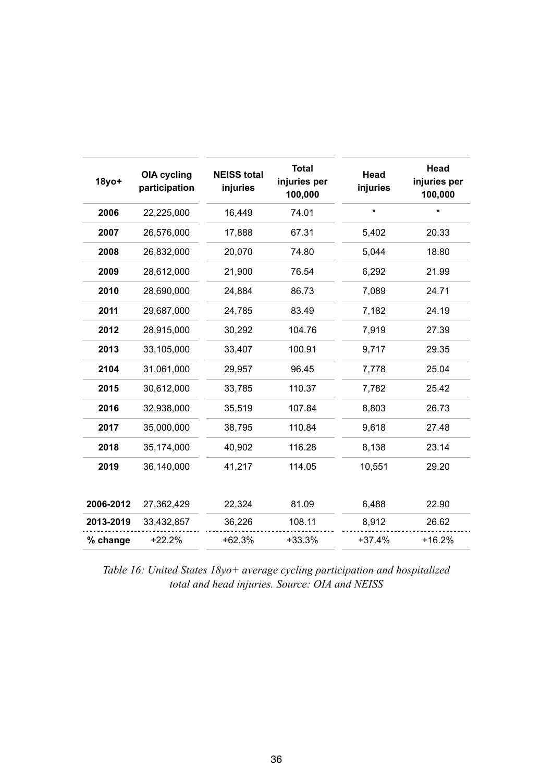| $18y$ o+  | <b>OIA cycling</b><br>participation | <b>NEISS total</b><br>injuries | <b>Total</b><br>injuries per<br>100,000 | Head<br>injuries | Head<br>injuries per<br>100,000 |
|-----------|-------------------------------------|--------------------------------|-----------------------------------------|------------------|---------------------------------|
| 2006      | 22,225,000                          | 16,449                         | 74.01                                   | $\star$          | $\star$                         |
| 2007      | 26,576,000                          | 17,888                         | 67.31                                   | 5,402            | 20.33                           |
| 2008      | 26,832,000                          | 20,070                         | 74.80                                   | 5,044            | 18.80                           |
| 2009      | 28,612,000                          | 21,900                         | 76.54                                   | 6,292            | 21.99                           |
| 2010      | 28,690,000                          | 24,884                         | 86.73                                   | 7,089            | 24.71                           |
| 2011      | 29,687,000                          | 24,785                         | 83.49                                   | 7,182            | 24.19                           |
| 2012      | 28,915,000                          | 30,292                         | 104.76                                  | 7,919            | 27.39                           |
| 2013      | 33,105,000                          | 33,407                         | 100.91                                  | 9,717            | 29.35                           |
| 2104      | 31,061,000                          | 29,957                         | 96.45                                   | 7,778            | 25.04                           |
| 2015      | 30,612,000                          | 33,785                         | 110.37                                  | 7,782            | 25.42                           |
| 2016      | 32,938,000                          | 35,519                         | 107.84                                  | 8,803            | 26.73                           |
| 2017      | 35,000,000                          | 38,795                         | 110.84                                  | 9,618            | 27.48                           |
| 2018      | 35,174,000                          | 40,902                         | 116.28                                  | 8,138            | 23.14                           |
| 2019      | 36,140,000                          | 41,217                         | 114.05                                  | 10,551           | 29.20                           |
| 2006-2012 | 27,362,429                          | 22,324                         | 81.09                                   | 6,488            | 22.90                           |
| 2013-2019 | 33,432,857                          | 36,226                         | 108.11                                  | 8,912            | 26.62                           |
| % change  | $+22.2%$                            | $+62.3%$                       | $+33.3%$                                | $+37.4%$         | $+16.2%$                        |

*Table 16: United States 18yo+ average cycling participation and hospitalized total and head injuries. Source: OIA and NEISS*